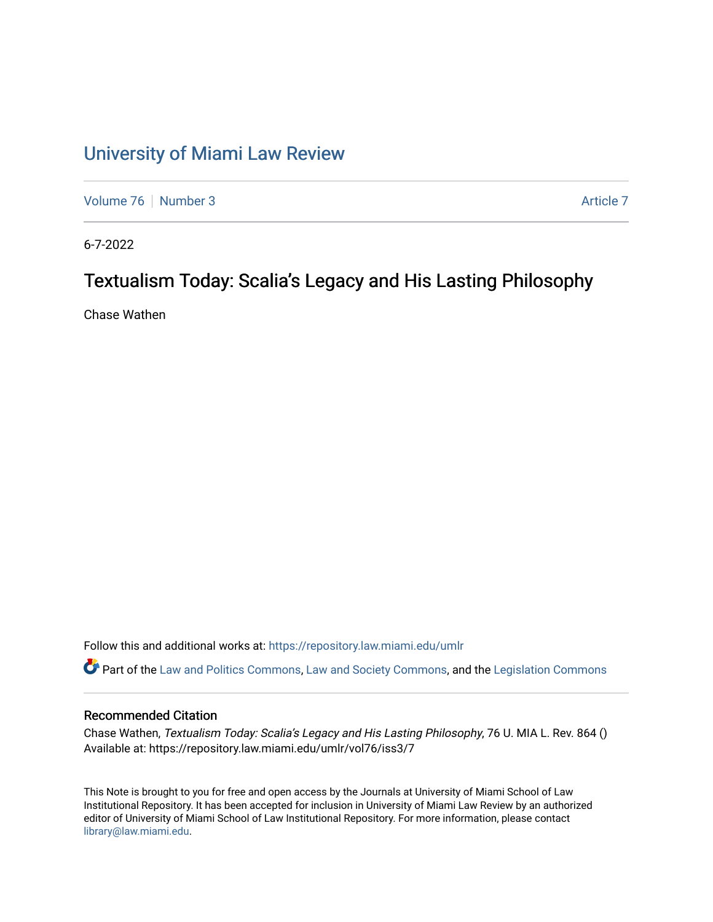## [University of Miami Law Review](https://repository.law.miami.edu/umlr)

[Volume 76](https://repository.law.miami.edu/umlr/vol76) [Number 3](https://repository.law.miami.edu/umlr/vol76/iss3) [Article 7](https://repository.law.miami.edu/umlr/vol76/iss3/7) Article 7 Article 7

6-7-2022

## Textualism Today: Scalia's Legacy and His Lasting Philosophy

Chase Wathen

Follow this and additional works at: [https://repository.law.miami.edu/umlr](https://repository.law.miami.edu/umlr?utm_source=repository.law.miami.edu%2Fumlr%2Fvol76%2Fiss3%2F7&utm_medium=PDF&utm_campaign=PDFCoverPages)

Part of the [Law and Politics Commons,](https://network.bepress.com/hgg/discipline/867?utm_source=repository.law.miami.edu%2Fumlr%2Fvol76%2Fiss3%2F7&utm_medium=PDF&utm_campaign=PDFCoverPages) [Law and Society Commons](https://network.bepress.com/hgg/discipline/853?utm_source=repository.law.miami.edu%2Fumlr%2Fvol76%2Fiss3%2F7&utm_medium=PDF&utm_campaign=PDFCoverPages), and the [Legislation Commons](https://network.bepress.com/hgg/discipline/859?utm_source=repository.law.miami.edu%2Fumlr%2Fvol76%2Fiss3%2F7&utm_medium=PDF&utm_campaign=PDFCoverPages)

#### Recommended Citation

Chase Wathen, Textualism Today: Scalia's Legacy and His Lasting Philosophy, 76 U. MIA L. Rev. 864 () Available at: https://repository.law.miami.edu/umlr/vol76/iss3/7

This Note is brought to you for free and open access by the Journals at University of Miami School of Law Institutional Repository. It has been accepted for inclusion in University of Miami Law Review by an authorized editor of University of Miami School of Law Institutional Repository. For more information, please contact [library@law.miami.edu.](mailto:library@law.miami.edu)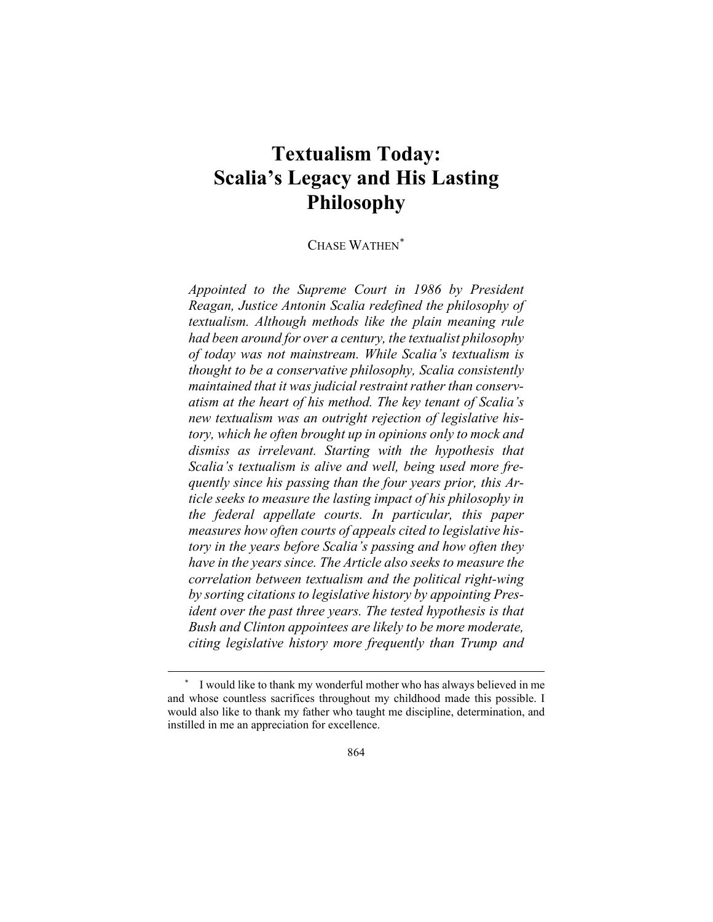# **Textualism Today: Scalia's Legacy and His Lasting Philosophy**

CHASE WATHEN[\\*](#page-1-0)

*Appointed to the Supreme Court in 1986 by President Reagan, Justice Antonin Scalia redefined the philosophy of textualism. Although methods like the plain meaning rule had been around for over a century, the textualist philosophy of today was not mainstream. While Scalia's textualism is thought to be a conservative philosophy, Scalia consistently maintained that it was judicial restraint rather than conservatism at the heart of his method. The key tenant of Scalia's new textualism was an outright rejection of legislative history, which he often brought up in opinions only to mock and dismiss as irrelevant. Starting with the hypothesis that Scalia's textualism is alive and well, being used more frequently since his passing than the four years prior, this Article seeks to measure the lasting impact of his philosophy in the federal appellate courts. In particular, this paper measures how often courts of appeals cited to legislative history in the years before Scalia's passing and how often they have in the years since. The Article also seeks to measure the correlation between textualism and the political right-wing by sorting citations to legislative history by appointing President over the past three years. The tested hypothesis is that Bush and Clinton appointees are likely to be more moderate, citing legislative history more frequently than Trump and* 

<span id="page-1-0"></span><sup>\*</sup> I would like to thank my wonderful mother who has always believed in me and whose countless sacrifices throughout my childhood made this possible. I would also like to thank my father who taught me discipline, determination, and instilled in me an appreciation for excellence.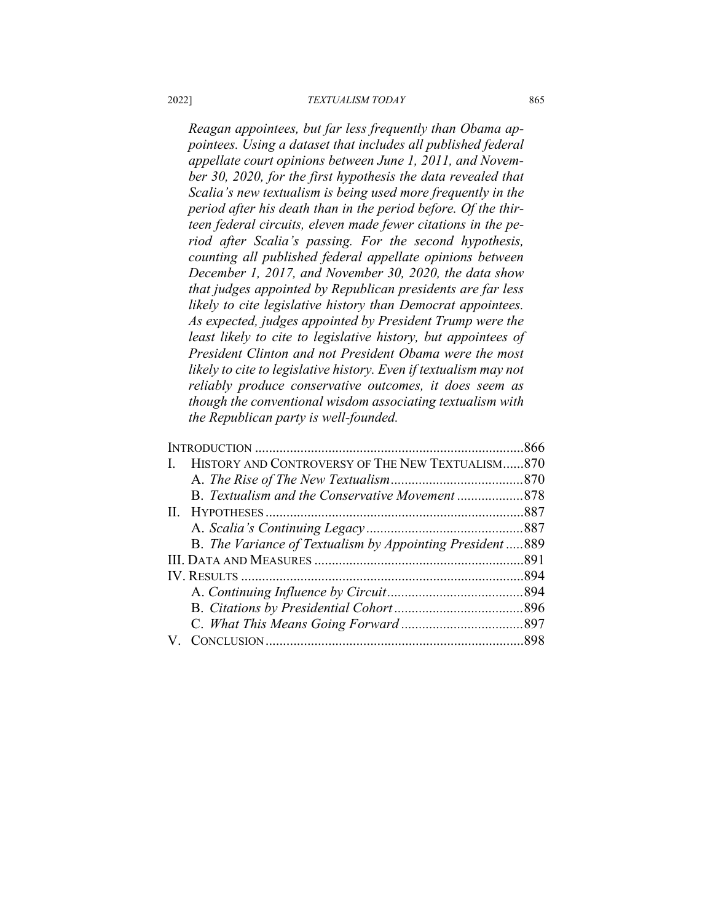#### 2022] *TEXTUALISM TODAY* 865

*Reagan appointees, but far less frequently than Obama appointees. Using a dataset that includes all published federal appellate court opinions between June 1, 2011, and November 30, 2020, for the first hypothesis the data revealed that Scalia's new textualism is being used more frequently in the period after his death than in the period before. Of the thirteen federal circuits, eleven made fewer citations in the period after Scalia's passing. For the second hypothesis, counting all published federal appellate opinions between December 1, 2017, and November 30, 2020, the data show that judges appointed by Republican presidents are far less likely to cite legislative history than Democrat appointees. As expected, judges appointed by President Trump were the least likely to cite to legislative history, but appointees of President Clinton and not President Obama were the most likely to cite to legislative history. Even if textualism may not reliably produce conservative outcomes, it does seem as though the conventional wisdom associating textualism with the Republican party is well-founded.*

| HISTORY AND CONTROVERSY OF THE NEW TEXTUALISM870          |  |
|-----------------------------------------------------------|--|
|                                                           |  |
| B. Textualism and the Conservative Movement 878           |  |
|                                                           |  |
|                                                           |  |
| B. The Variance of Textualism by Appointing President 889 |  |
|                                                           |  |
|                                                           |  |
|                                                           |  |
|                                                           |  |
|                                                           |  |
|                                                           |  |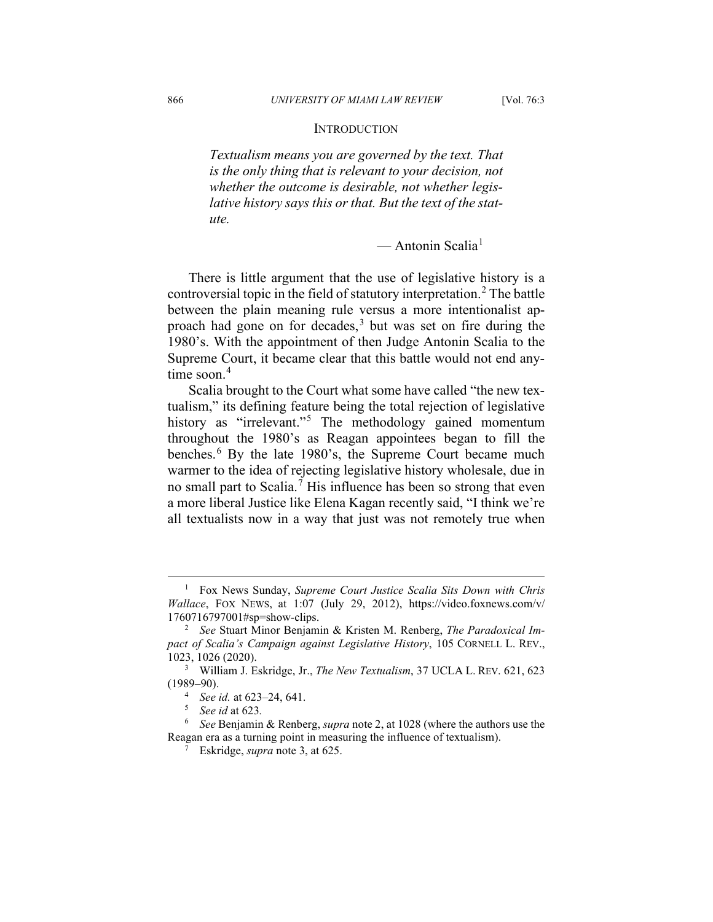#### **INTRODUCTION**

*Textualism means you are governed by the text. That is the only thing that is relevant to your decision, not whether the outcome is desirable, not whether legislative history says this or that. But the text of the statute.*

— Antonin Scalia<sup>[1](#page-3-0)</sup>

There is little argument that the use of legislative history is a controversial topic in the field of statutory interpretation.<sup>[2](#page-3-1)</sup> The battle between the plain meaning rule versus a more intentionalist ap-proach had gone on for decades,<sup>[3](#page-3-2)</sup> but was set on fire during the 1980's. With the appointment of then Judge Antonin Scalia to the Supreme Court, it became clear that this battle would not end any-time soon.<sup>[4](#page-3-3)</sup>

Scalia brought to the Court what some have called "the new textualism," its defining feature being the total rejection of legislative history as "irrelevant."<sup>[5](#page-3-4)</sup> The methodology gained momentum throughout the 1980's as Reagan appointees began to fill the benches.<sup>[6](#page-3-5)</sup> By the late 1980's, the Supreme Court became much warmer to the idea of rejecting legislative history wholesale, due in no small part to Scalia.<sup>[7](#page-3-6)</sup> His influence has been so strong that even a more liberal Justice like Elena Kagan recently said, "I think we're all textualists now in a way that just was not remotely true when

<span id="page-3-0"></span><sup>1</sup> Fox News Sunday, *Supreme Court Justice Scalia Sits Down with Chris Wallace*, FOX NEWS, at 1:07 (July 29, 2012), https://video.foxnews.com/v/ 1760716797001#sp=show-clips.

<span id="page-3-1"></span><sup>2</sup> *See* Stuart Minor Benjamin & Kristen M. Renberg, *The Paradoxical Impact of Scalia's Campaign against Legislative History*, 105 CORNELL L. REV., 1023, 1026 (2020).

<span id="page-3-3"></span><span id="page-3-2"></span><sup>3</sup> William J. Eskridge, Jr., *The New Textualism*, 37 UCLA L. REV. 621, 623 (1989–90).

<sup>4</sup> *See id.* at 623–24, 641.

<sup>5</sup> *See id* at 623*.*

<span id="page-3-6"></span><span id="page-3-5"></span><span id="page-3-4"></span><sup>6</sup> *See* Benjamin & Renberg, *supra* note 2, at 1028 (where the authors use the Reagan era as a turning point in measuring the influence of textualism).

<sup>7</sup> Eskridge, *supra* note 3, at 625.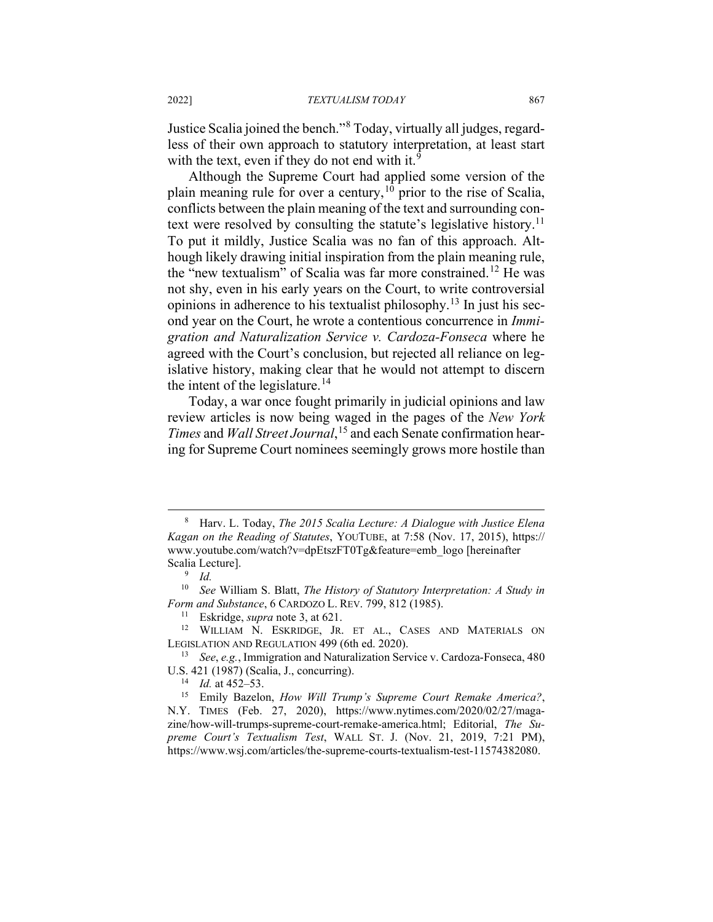Justice Scalia joined the bench."[8](#page-4-0) Today, virtually all judges, regardless of their own approach to statutory interpretation, at least start with the text, even if they do not end with it. $9$ 

Although the Supreme Court had applied some version of the plain meaning rule for over a century,  $10$  prior to the rise of Scalia, conflicts between the plain meaning of the text and surrounding con-text were resolved by consulting the statute's legislative history.<sup>[11](#page-4-3)</sup> To put it mildly, Justice Scalia was no fan of this approach. Although likely drawing initial inspiration from the plain meaning rule, the "new textualism" of Scalia was far more constrained.<sup>[12](#page-4-4)</sup> He was not shy, even in his early years on the Court, to write controversial opinions in adherence to his textualist philosophy.[13](#page-4-5) In just his second year on the Court, he wrote a contentious concurrence in *Immigration and Naturalization Service v. Cardoza-Fonseca* where he agreed with the Court's conclusion, but rejected all reliance on legislative history, making clear that he would not attempt to discern the intent of the legislature.<sup>[14](#page-4-6)</sup>

Today, a war once fought primarily in judicial opinions and law review articles is now being waged in the pages of the *New York Times* and *Wall Street Journal*, [15](#page-4-7) and each Senate confirmation hearing for Supreme Court nominees seemingly grows more hostile than

<span id="page-4-0"></span><sup>8</sup> Harv. L. Today, *The 2015 Scalia Lecture: A Dialogue with Justice Elena Kagan on the Reading of Statutes*, YOUTUBE, at 7:58 (Nov. 17, 2015), https:// www.youtube.com/watch?v=dpEtszFT0Tg&feature=emb\_logo [hereinafter Scalia Lecture].

<sup>9</sup> *Id.*

<span id="page-4-2"></span><span id="page-4-1"></span><sup>10</sup> *See* William S. Blatt, *The History of Statutory Interpretation: A Study in Form and Substance*, 6 CARDOZO L. REV. 799, 812 (1985).

<sup>11</sup> Eskridge, *supra* note 3, at 621.

<span id="page-4-4"></span><span id="page-4-3"></span><sup>12</sup> WILLIAM N. ESKRIDGE, JR. ET AL., CASES AND MATERIALS ON LEGISLATION AND REGULATION 499 (6th ed. 2020).

<span id="page-4-5"></span><sup>13</sup> *See*, *e.g.*, Immigration and Naturalization Service v. Cardoza-Fonseca, 480 U.S. 421 (1987) (Scalia, J., concurring).

*Id.* at 452–53.

<span id="page-4-7"></span><span id="page-4-6"></span><sup>15</sup> Emily Bazelon, *How Will Trump's Supreme Court Remake America?*, N.Y. TIMES (Feb. 27, 2020), https://www.nytimes.com/2020/02/27/magazine/how-will-trumps-supreme-court-remake-america.html; Editorial, *The Supreme Court's Textualism Test*, WALL ST. J. (Nov. 21, 2019, 7:21 PM), https://www.wsj.com/articles/the-supreme-courts-textualism-test-11574382080.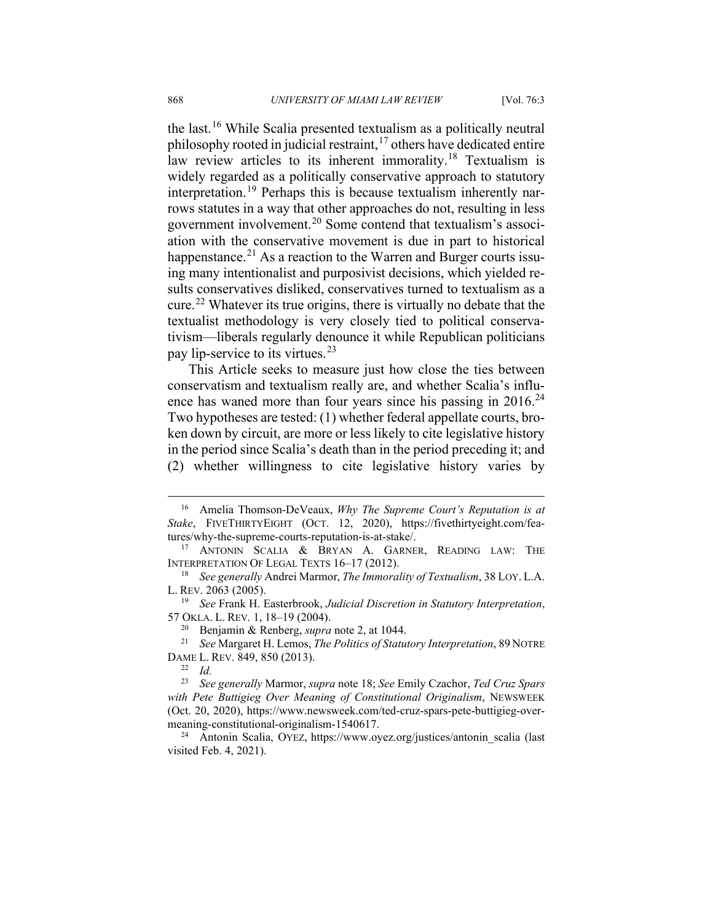the last.[16](#page-5-0) While Scalia presented textualism as a politically neutral philosophy rooted in judicial restraint,<sup>[17](#page-5-1)</sup> others have dedicated entire law review articles to its inherent immorality.<sup>[18](#page-5-2)</sup> Textualism is widely regarded as a politically conservative approach to statutory interpretation.<sup>[19](#page-5-3)</sup> Perhaps this is because textualism inherently narrows statutes in a way that other approaches do not, resulting in less government involvement.[20](#page-5-4) Some contend that textualism's association with the conservative movement is due in part to historical happenstance.<sup>[21](#page-5-5)</sup> As a reaction to the Warren and Burger courts issuing many intentionalist and purposivist decisions, which yielded results conservatives disliked, conservatives turned to textualism as a cure.[22](#page-5-6) Whatever its true origins, there is virtually no debate that the textualist methodology is very closely tied to political conservativism—liberals regularly denounce it while Republican politicians pay lip-service to its virtues.  $2^3$ 

This Article seeks to measure just how close the ties between conservatism and textualism really are, and whether Scalia's influence has waned more than four years since his passing in  $2016<sup>24</sup>$  $2016<sup>24</sup>$  $2016<sup>24</sup>$ Two hypotheses are tested: (1) whether federal appellate courts, broken down by circuit, are more or less likely to cite legislative history in the period since Scalia's death than in the period preceding it; and (2) whether willingness to cite legislative history varies by

<span id="page-5-0"></span><sup>16</sup> Amelia Thomson-DeVeaux, *Why The Supreme Court's Reputation is at Stake*, FIVETHIRTYEIGHT (OCT. 12, 2020), https://fivethirtyeight.com/features/why-the-supreme-courts-reputation-is-at-stake/.

<span id="page-5-1"></span><sup>17</sup> ANTONIN SCALIA & BRYAN A. GARNER, READING LAW: THE INTERPRETATION OF LEGAL TEXTS 16–17 (2012).

<span id="page-5-2"></span><sup>18</sup> *See generally* Andrei Marmor, *The Immorality of Textualism*, 38 LOY. L.A. L. REV. 2063 (2005).

<span id="page-5-3"></span><sup>19</sup> *See* Frank H. Easterbrook, *Judicial Discretion in Statutory Interpretation*, 57 OKLA. L. REV. 1, 18–19 (2004).

<sup>20</sup> Benjamin & Renberg, *supra* note 2, at 1044.

<span id="page-5-5"></span><span id="page-5-4"></span><sup>21</sup> *See* Margaret H. Lemos, *The Politics of Statutory Interpretation*, 89 NOTRE DAME L. REV. 849, 850 (2013).

 $\frac{22}{23}$  *Id.* 

<span id="page-5-7"></span><span id="page-5-6"></span><sup>23</sup> *See generally* Marmor, *supra* note 18; *See* Emily Czachor, *Ted Cruz Spars with Pete Buttigieg Over Meaning of Constitutional Originalism*, NEWSWEEK (Oct. 20, 2020), https://www.newsweek.com/ted-cruz-spars-pete-buttigieg-overmeaning-constitutional-originalism-1540617.

<span id="page-5-8"></span><sup>&</sup>lt;sup>24</sup> Antonin Scalia, OYEZ, https://www.oyez.org/justices/antonin\_scalia (last visited Feb. 4, 2021).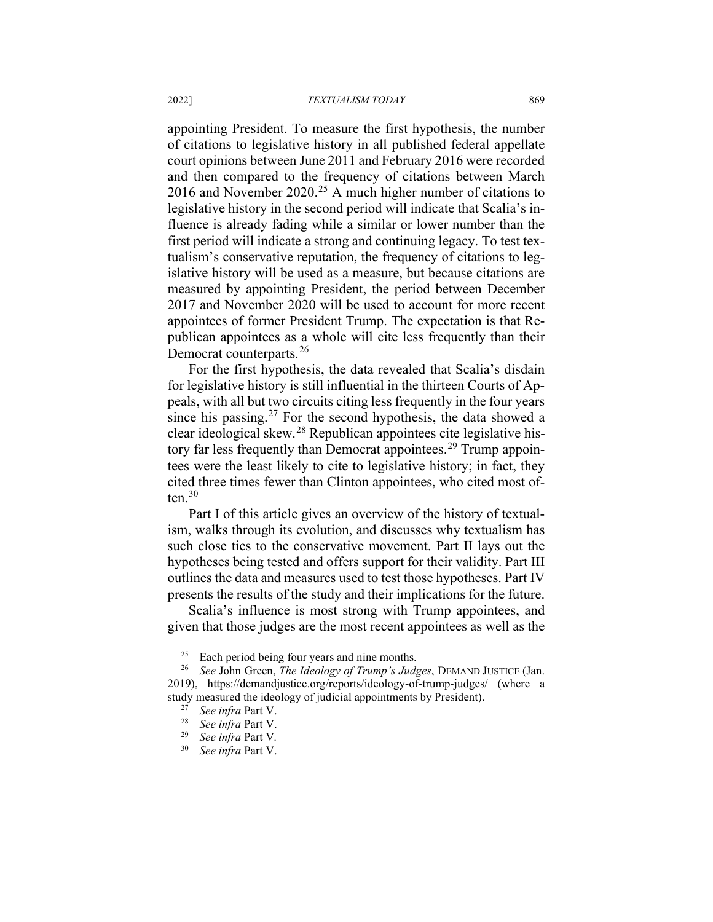appointing President. To measure the first hypothesis, the number of citations to legislative history in all published federal appellate court opinions between June 2011 and February 2016 were recorded and then compared to the frequency of citations between March 2016 and November  $2020$ <sup>[25](#page-6-0)</sup> A much higher number of citations to legislative history in the second period will indicate that Scalia's influence is already fading while a similar or lower number than the first period will indicate a strong and continuing legacy. To test textualism's conservative reputation, the frequency of citations to legislative history will be used as a measure, but because citations are measured by appointing President, the period between December 2017 and November 2020 will be used to account for more recent appointees of former President Trump. The expectation is that Republican appointees as a whole will cite less frequently than their Democrat counterparts.<sup>[26](#page-6-1)</sup>

For the first hypothesis, the data revealed that Scalia's disdain for legislative history is still influential in the thirteen Courts of Appeals, with all but two circuits citing less frequently in the four years since his passing.<sup>[27](#page-6-2)</sup> For the second hypothesis, the data showed a clear ideological skew.[28](#page-6-3) Republican appointees cite legislative his-tory far less frequently than Democrat appointees.<sup>[29](#page-6-4)</sup> Trump appointees were the least likely to cite to legislative history; in fact, they cited three times fewer than Clinton appointees, who cited most often $.30$  $.30$ 

Part I of this article gives an overview of the history of textualism, walks through its evolution, and discusses why textualism has such close ties to the conservative movement. Part II lays out the hypotheses being tested and offers support for their validity. Part III outlines the data and measures used to test those hypotheses. Part IV presents the results of the study and their implications for the future.

Scalia's influence is most strong with Trump appointees, and given that those judges are the most recent appointees as well as the

 $25$  Each period being four years and nine months.

<span id="page-6-4"></span><span id="page-6-3"></span><span id="page-6-2"></span><span id="page-6-1"></span><span id="page-6-0"></span><sup>26</sup> *See* John Green, *The Ideology of Trump's Judges*, DEMAND JUSTICE (Jan. 2019), https://demandjustice.org/reports/ideology-of-trump-judges/ (where a study measured the ideology of judicial appointments by President).

<sup>27</sup> *See infra* Part V.

<sup>28</sup> *See infra* Part V.

<span id="page-6-5"></span><sup>29</sup> *See infra* Part V*.*

<sup>30</sup> *See infra* Part V.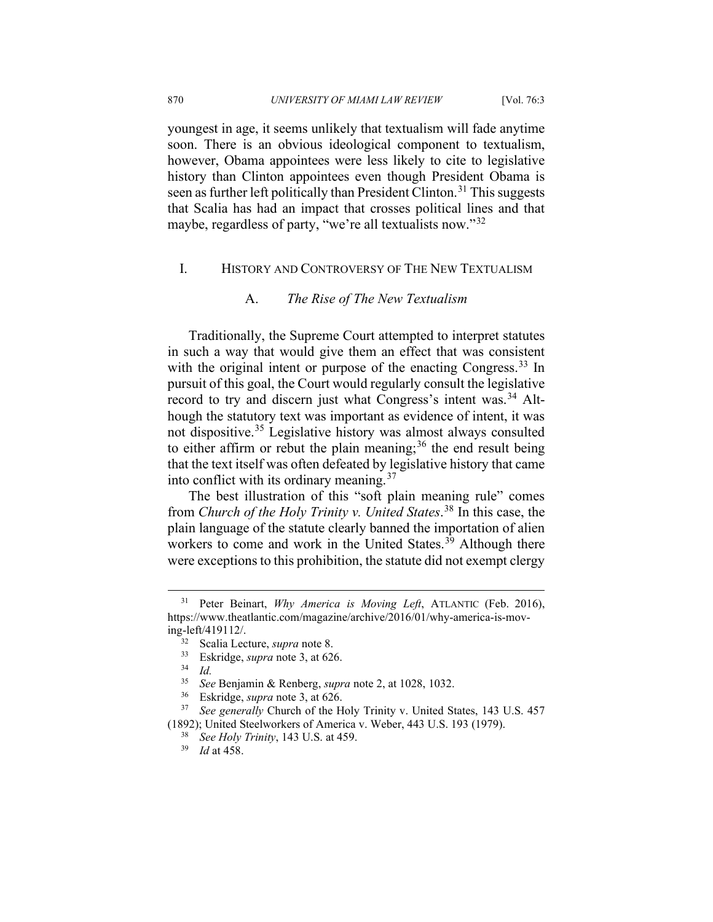youngest in age, it seems unlikely that textualism will fade anytime soon. There is an obvious ideological component to textualism, however, Obama appointees were less likely to cite to legislative history than Clinton appointees even though President Obama is seen as further left politically than President Clinton.<sup>[31](#page-7-0)</sup> This suggests that Scalia has had an impact that crosses political lines and that maybe, regardless of party, "we're all textualists now."[32](#page-7-1)

## I. HISTORY AND CONTROVERSY OF THE NEW TEXTUALISM

#### A. *The Rise of The New Textualism*

Traditionally, the Supreme Court attempted to interpret statutes in such a way that would give them an effect that was consistent with the original intent or purpose of the enacting Congress.<sup>[33](#page-7-2)</sup> In pursuit of this goal, the Court would regularly consult the legislative record to try and discern just what Congress's intent was.[34](#page-7-3) Although the statutory text was important as evidence of intent, it was not dispositive.[35](#page-7-4) Legislative history was almost always consulted to either affirm or rebut the plain meaning;<sup>[36](#page-7-5)</sup> the end result being that the text itself was often defeated by legislative history that came into conflict with its ordinary meaning.[37](#page-7-6)

The best illustration of this "soft plain meaning rule" comes from *Church of the Holy Trinity v. United States*. [38](#page-7-7) In this case, the plain language of the statute clearly banned the importation of alien workers to come and work in the United States. $3\overline{9}$  Although there were exceptions to this prohibition, the statute did not exempt clergy

<span id="page-7-2"></span><span id="page-7-1"></span><span id="page-7-0"></span><sup>&</sup>lt;sup>31</sup> Peter Beinart, *Why America is Moving Left*, ATLANTIC (Feb. 2016), https://www.theatlantic.com/magazine/archive/2016/01/why-america-is-moving-left/419112/.

<sup>&</sup>lt;sup>32</sup> Scalia Lecture, *supra* note 8.<br><sup>33</sup> Eskridge, *supra* pote 3, at 62

<sup>&</sup>lt;sup>33</sup> Eskridge, *supra* note 3, at 626.

<sup>34</sup> *Id.*

<sup>35</sup> *See* Benjamin & Renberg, *supra* note 2, at 1028, 1032.

Eskridge, *supra* note 3, at 626.

<span id="page-7-8"></span><span id="page-7-7"></span><span id="page-7-6"></span><span id="page-7-5"></span><span id="page-7-4"></span><span id="page-7-3"></span><sup>37</sup> *See generally* Church of the Holy Trinity v. United States, 143 U.S. 457 (1892); United Steelworkers of America v. Weber, 443 U.S. 193 (1979).

<sup>38</sup> *See Holy Trinity*, 143 U.S. at 459.

<sup>39</sup> *Id* at 458.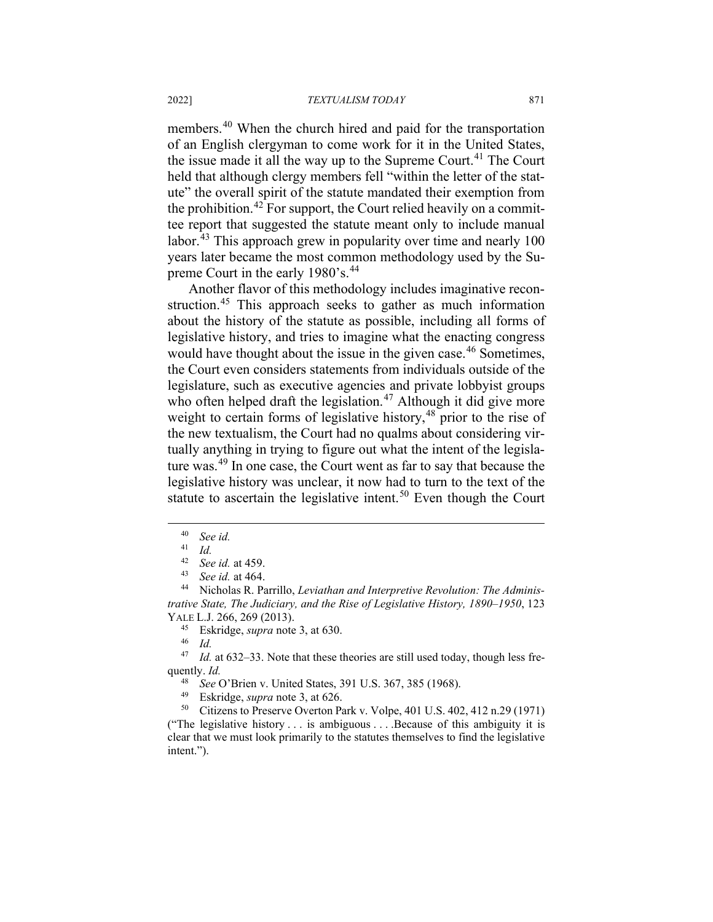members.<sup>[40](#page-8-0)</sup> When the church hired and paid for the transportation of an English clergyman to come work for it in the United States, the issue made it all the way up to the Supreme Court.<sup>[41](#page-8-1)</sup> The Court held that although clergy members fell "within the letter of the statute" the overall spirit of the statute mandated their exemption from the prohibition.<sup>[42](#page-8-2)</sup> For support, the Court relied heavily on a committee report that suggested the statute meant only to include manual labor.<sup>[43](#page-8-3)</sup> This approach grew in popularity over time and nearly 100 years later became the most common methodology used by the Su-preme Court in the early 1980's.<sup>[44](#page-8-4)</sup>

Another flavor of this methodology includes imaginative recon-struction.<sup>[45](#page-8-5)</sup> This approach seeks to gather as much information about the history of the statute as possible, including all forms of legislative history, and tries to imagine what the enacting congress would have thought about the issue in the given case.<sup>[46](#page-8-6)</sup> Sometimes, the Court even considers statements from individuals outside of the legislature, such as executive agencies and private lobbyist groups who often helped draft the legislation.<sup>[47](#page-8-7)</sup> Although it did give more weight to certain forms of legislative history,<sup>[48](#page-8-8)</sup> prior to the rise of the new textualism, the Court had no qualms about considering virtually anything in trying to figure out what the intent of the legislature was.[49](#page-8-9) In one case, the Court went as far to say that because the legislative history was unclear, it now had to turn to the text of the statute to ascertain the legislative intent.<sup>[50](#page-8-10)</sup> Even though the Court

<sup>45</sup> Eskridge, *supra* note 3, at 630.

<span id="page-8-7"></span><span id="page-8-6"></span><span id="page-8-5"></span><sup>47</sup> *Id.* at 632–33. Note that these theories are still used today, though less frequently. *Id.*

48 *See* O'Brien v. United States, 391 U.S. 367, 385 (1968).

<sup>49</sup> Eskridge, *supra* note 3, at 626.<br><sup>50</sup> Citizens to Preserve Overton P.

<span id="page-8-10"></span><span id="page-8-9"></span><span id="page-8-8"></span><sup>50</sup> Citizens to Preserve Overton Park v. Volpe, 401 U.S. 402, 412 n.29 (1971) ("The legislative history . . . is ambiguous . . . .Because of this ambiguity it is clear that we must look primarily to the statutes themselves to find the legislative intent.").

 $^{40}$  *See id.*<br> $^{41}$  *Id* 

 $\frac{41}{42}$  *Id.* 

<sup>42</sup> *See id.* at 459.

<sup>&</sup>lt;sup>43</sup> *See id.* at 464.

<span id="page-8-4"></span><span id="page-8-3"></span><span id="page-8-2"></span><span id="page-8-1"></span><span id="page-8-0"></span><sup>44</sup> Nicholas R. Parrillo, *Leviathan and Interpretive Revolution: The Administrative State, The Judiciary, and the Rise of Legislative History, 1890–1950*, 123 YALE L.J. 266, 269 (2013).

*Id.*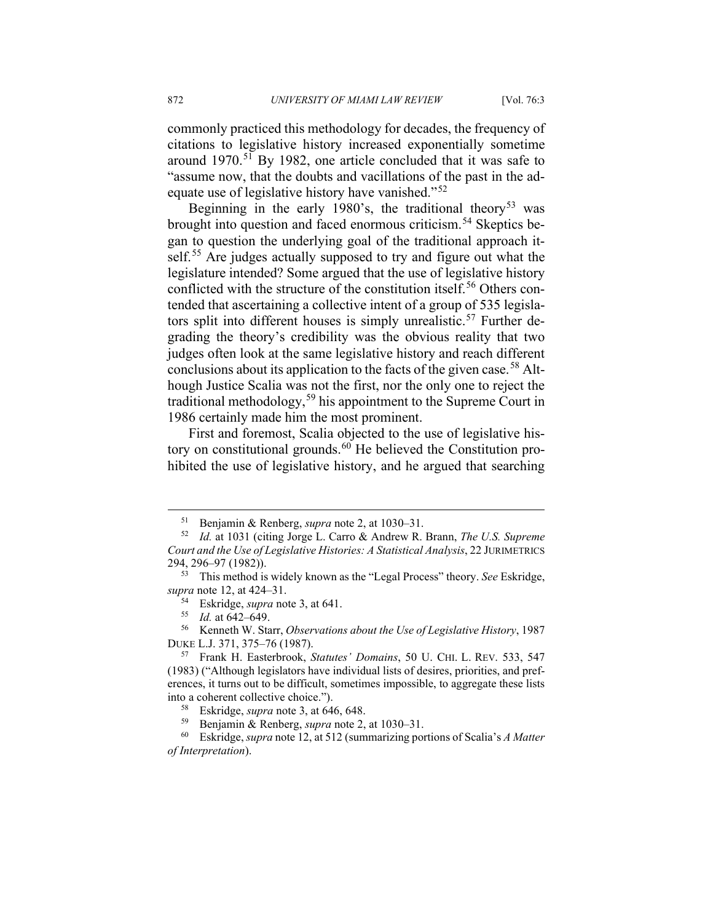commonly practiced this methodology for decades, the frequency of citations to legislative history increased exponentially sometime around  $1970$ <sup>[51](#page-9-0)</sup> By 1982, one article concluded that it was safe to "assume now, that the doubts and vacillations of the past in the ad-equate use of legislative history have vanished."<sup>[52](#page-9-1)</sup>

Beginning in the early 1980's, the traditional theory<sup>[53](#page-9-2)</sup> was brought into question and faced enormous criticism.<sup>[54](#page-9-3)</sup> Skeptics began to question the underlying goal of the traditional approach it-self.<sup>[55](#page-9-4)</sup> Are judges actually supposed to try and figure out what the legislature intended? Some argued that the use of legislative history conflicted with the structure of the constitution itself.<sup>[56](#page-9-5)</sup> Others contended that ascertaining a collective intent of a group of 535 legisla-tors split into different houses is simply unrealistic.<sup>[57](#page-9-6)</sup> Further degrading the theory's credibility was the obvious reality that two judges often look at the same legislative history and reach different conclusions about its application to the facts of the given case.<sup>[58](#page-9-7)</sup> Although Justice Scalia was not the first, nor the only one to reject the traditional methodology,  $59$  his appointment to the Supreme Court in 1986 certainly made him the most prominent.

First and foremost, Scalia objected to the use of legislative history on constitutional grounds. $^{60}$  $^{60}$  $^{60}$  He believed the Constitution prohibited the use of legislative history, and he argued that searching

<span id="page-9-5"></span><span id="page-9-4"></span><sup>56</sup> Kenneth W. Starr, *Observations about the Use of Legislative History*, 1987 DUKE L.J. 371, 375–76 (1987).

<sup>59</sup> Benjamin & Renberg, *supra* note 2, at 1030–31.

<sup>51</sup> Benjamin & Renberg, *supra* note 2, at 1030–31.

<span id="page-9-1"></span><span id="page-9-0"></span><sup>52</sup> *Id.* at 1031 (citing Jorge L. Carro & Andrew R. Brann, *The U.S. Supreme Court and the Use of Legislative Histories: A Statistical Analysis*, 22 JURIMETRICS 294, 296–97 (1982)).

<span id="page-9-3"></span><span id="page-9-2"></span><sup>53</sup> This method is widely known as the "Legal Process" theory. *See* Eskridge, *supra* note 12, at 424–31.

<sup>54</sup> Eskridge, *supra* note 3, at 641.

<sup>55</sup> *Id.* at 642–649.

<span id="page-9-6"></span><sup>57</sup> Frank H. Easterbrook, *Statutes' Domains*, 50 U. CHI. L. REV. 533, 547 (1983) ("Although legislators have individual lists of desires, priorities, and preferences, it turns out to be difficult, sometimes impossible, to aggregate these lists into a coherent collective choice.").

<sup>58</sup> Eskridge, *supra* note 3, at 646, 648.

<span id="page-9-9"></span><span id="page-9-8"></span><span id="page-9-7"></span><sup>60</sup> Eskridge, *supra* note 12, at 512 (summarizing portions of Scalia's *A Matter of Interpretation*).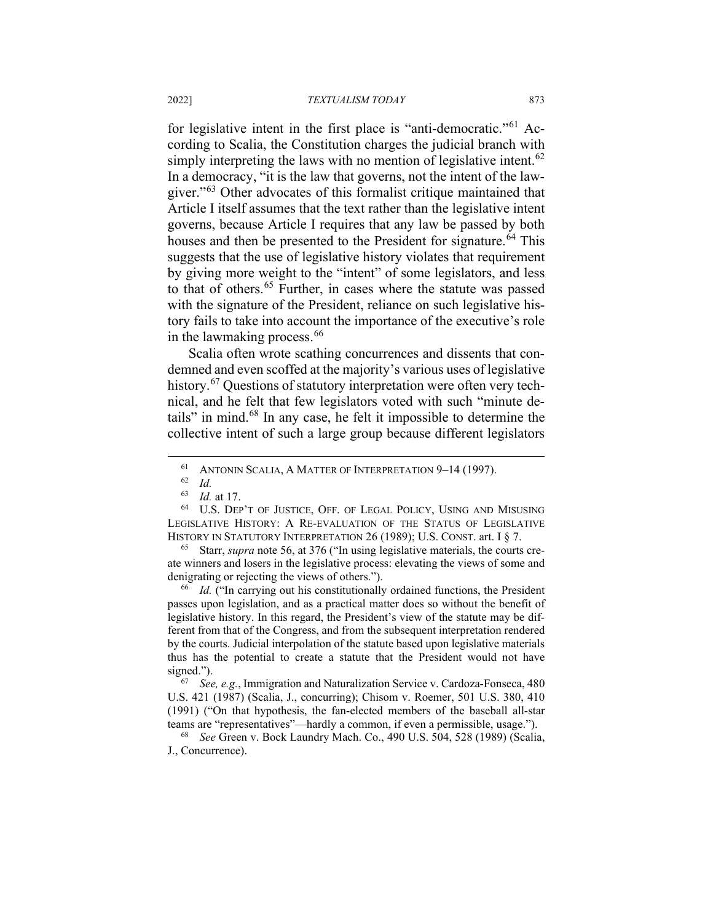for legislative intent in the first place is "anti-democratic."<sup>[61](#page-10-0)</sup> According to Scalia, the Constitution charges the judicial branch with simply interpreting the laws with no mention of legislative intent.<sup>[62](#page-10-1)</sup> In a democracy, "it is the law that governs, not the intent of the law-giver."<sup>[63](#page-10-2)</sup> Other advocates of this formalist critique maintained that Article I itself assumes that the text rather than the legislative intent governs, because Article I requires that any law be passed by both houses and then be presented to the President for signature.<sup>[64](#page-10-3)</sup> This suggests that the use of legislative history violates that requirement by giving more weight to the "intent" of some legislators, and less to that of others.<sup>[65](#page-10-4)</sup> Further, in cases where the statute was passed with the signature of the President, reliance on such legislative history fails to take into account the importance of the executive's role in the lawmaking process.  $66$ 

Scalia often wrote scathing concurrences and dissents that condemned and even scoffed at the majority's various uses of legislative history.<sup>[67](#page-10-6)</sup> Questions of statutory interpretation were often very technical, and he felt that few legislators voted with such "minute details" in mind.[68](#page-10-7) In any case, he felt it impossible to determine the collective intent of such a large group because different legislators

<span id="page-10-4"></span><sup>65</sup> Starr, *supra* note 56, at 376 ("In using legislative materials, the courts create winners and losers in the legislative process: elevating the views of some and denigrating or rejecting the views of others.").

<span id="page-10-5"></span><sup>66</sup> *Id.* ("In carrying out his constitutionally ordained functions, the President passes upon legislation, and as a practical matter does so without the benefit of legislative history. In this regard, the President's view of the statute may be different from that of the Congress, and from the subsequent interpretation rendered by the courts. Judicial interpolation of the statute based upon legislative materials thus has the potential to create a statute that the President would not have signed.").

<span id="page-10-6"></span><sup>67</sup> *See, e.g.*, Immigration and Naturalization Service v. Cardoza-Fonseca, 480 U.S. 421 (1987) (Scalia, J., concurring); Chisom v. Roemer, 501 U.S. 380, 410 (1991) ("On that hypothesis, the fan-elected members of the baseball all-star teams are "representatives"—hardly a common, if even a permissible, usage.").

<span id="page-10-7"></span><sup>68</sup> *See* Green v. Bock Laundry Mach. Co., 490 U.S. 504, 528 (1989) (Scalia, J., Concurrence).

<sup>61</sup> ANTONIN SCALIA, A MATTER OF INTERPRETATION 9–14 (1997).

 $\begin{array}{cc} 62 & Id. \\ 63 & Id. \end{array}$ 

<sup>63</sup> *Id.* at 17.

<span id="page-10-3"></span><span id="page-10-2"></span><span id="page-10-1"></span><span id="page-10-0"></span><sup>64</sup> U.S. DEP'T OF JUSTICE, OFF. OF LEGAL POLICY, USING AND MISUSING LEGISLATIVE HISTORY: A RE-EVALUATION OF THE STATUS OF LEGISLATIVE HISTORY IN STATUTORY INTERPRETATION 26 (1989); U.S. CONST. art. I § 7.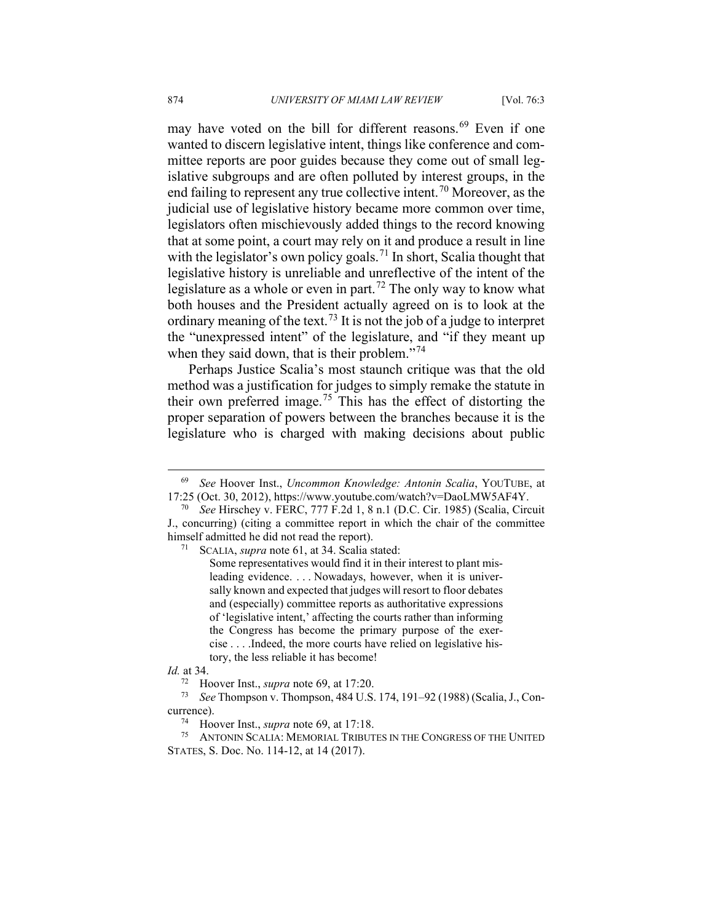may have voted on the bill for different reasons.<sup>[69](#page-11-0)</sup> Even if one wanted to discern legislative intent, things like conference and committee reports are poor guides because they come out of small legislative subgroups and are often polluted by interest groups, in the end failing to represent any true collective intent.<sup>[70](#page-11-1)</sup> Moreover, as the judicial use of legislative history became more common over time, legislators often mischievously added things to the record knowing that at some point, a court may rely on it and produce a result in line with the legislator's own policy goals.<sup>[71](#page-11-2)</sup> In short, Scalia thought that legislative history is unreliable and unreflective of the intent of the legislature as a whole or even in part.<sup>[72](#page-11-3)</sup> The only way to know what both houses and the President actually agreed on is to look at the ordinary meaning of the text.<sup>[73](#page-11-4)</sup> It is not the job of a judge to interpret the "unexpressed intent" of the legislature, and "if they meant up when they said down, that is their problem."<sup>[74](#page-11-5)</sup>

Perhaps Justice Scalia's most staunch critique was that the old method was a justification for judges to simply remake the statute in their own preferred image.<sup>[75](#page-11-6)</sup> This has the effect of distorting the proper separation of powers between the branches because it is the legislature who is charged with making decisions about public

<span id="page-11-0"></span><sup>69</sup> *See* Hoover Inst., *Uncommon Knowledge: Antonin Scalia*, YOUTUBE, at 17:25 (Oct. 30, 2012), https://www.youtube.com/watch?v=DaoLMW5AF4Y.

<span id="page-11-2"></span><span id="page-11-1"></span><sup>70</sup> *See* Hirschey v. FERC, 777 F.2d 1, 8 n.1 (D.C. Cir. 1985) (Scalia, Circuit J., concurring) (citing a committee report in which the chair of the committee himself admitted he did not read the report).

<sup>71</sup> SCALIA, *supra* note 61, at 34. Scalia stated:

Some representatives would find it in their interest to plant misleading evidence. . . . Nowadays, however, when it is universally known and expected that judges will resort to floor debates and (especially) committee reports as authoritative expressions of 'legislative intent,' affecting the courts rather than informing the Congress has become the primary purpose of the exercise . . . .Indeed, the more courts have relied on legislative history, the less reliable it has become!

<span id="page-11-3"></span>*Id.* at 34.

<sup>72</sup> Hoover Inst., *supra* note 69, at 17:20.

<span id="page-11-4"></span><sup>73</sup> *See* Thompson v. Thompson, 484 U.S. 174, 191–92 (1988) (Scalia, J., Concurrence).

<sup>74</sup> Hoover Inst., *supra* note 69, at 17:18.

<span id="page-11-6"></span><span id="page-11-5"></span>ANTONIN SCALIA: MEMORIAL TRIBUTES IN THE CONGRESS OF THE UNITED STATES, S. Doc. No. 114-12, at 14 (2017).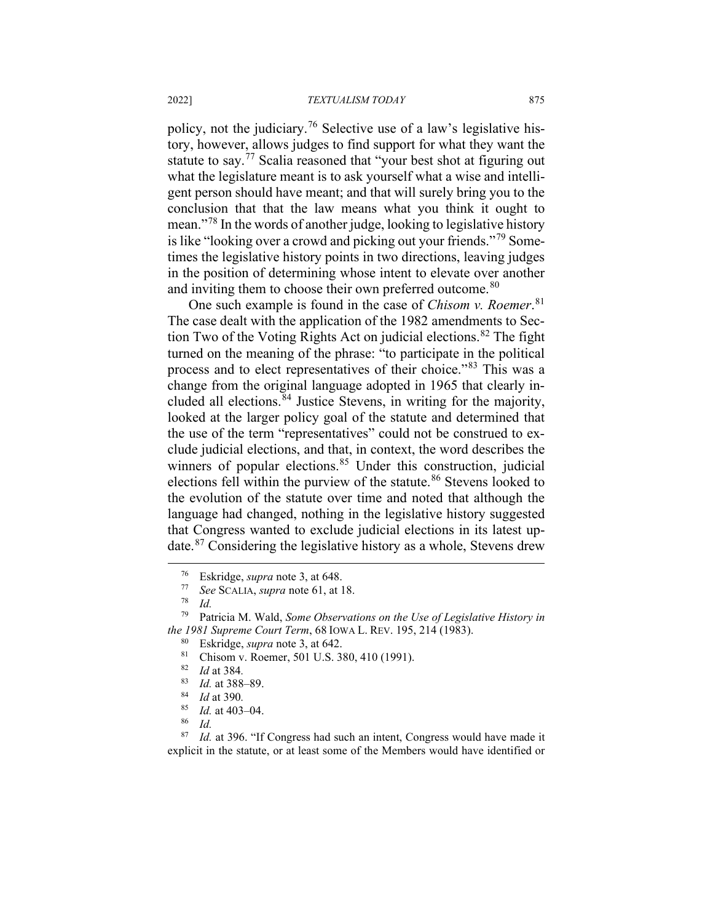#### 2022] *TEXTUALISM TODAY* 875

policy, not the judiciary.<sup>[76](#page-12-0)</sup> Selective use of a law's legislative history, however, allows judges to find support for what they want the statute to say.[77](#page-12-1) Scalia reasoned that "your best shot at figuring out what the legislature meant is to ask yourself what a wise and intelligent person should have meant; and that will surely bring you to the conclusion that that the law means what you think it ought to mean."[78](#page-12-2) In the words of another judge, looking to legislative history is like "looking over a crowd and picking out your friends."[79](#page-12-3) Sometimes the legislative history points in two directions, leaving judges in the position of determining whose intent to elevate over another and inviting them to choose their own preferred outcome.<sup>[80](#page-12-4)</sup>

One such example is found in the case of *Chisom v. Roemer*. [81](#page-12-5) The case dealt with the application of the 1982 amendments to Sec-tion Two of the Voting Rights Act on judicial elections.<sup>[82](#page-12-6)</sup> The fight turned on the meaning of the phrase: "to participate in the political process and to elect representatives of their choice."[83](#page-12-7) This was a change from the original language adopted in 1965 that clearly in-cluded all elections.<sup>[84](#page-12-8)</sup> Justice Stevens, in writing for the majority, looked at the larger policy goal of the statute and determined that the use of the term "representatives" could not be construed to exclude judicial elections, and that, in context, the word describes the winners of popular elections.<sup>[85](#page-12-9)</sup> Under this construction, judicial elections fell within the purview of the statute.<sup>[86](#page-12-10)</sup> Stevens looked to the evolution of the statute over time and noted that although the language had changed, nothing in the legislative history suggested that Congress wanted to exclude judicial elections in its latest update.[87](#page-12-11) Considering the legislative history as a whole, Stevens drew

<sup>76</sup> Eskridge, *supra* note 3, at 648.

<sup>77</sup> *See* SCALIA, *supra* note 61, at 18.

 $\frac{78}{79}$  *Id.* 

<span id="page-12-6"></span><span id="page-12-5"></span><span id="page-12-4"></span><span id="page-12-3"></span><span id="page-12-2"></span><span id="page-12-1"></span><span id="page-12-0"></span>Patricia M. Wald, *Some Observations on the Use of Legislative History in the 1981 Supreme Court Term*, 68 IOWA L. REV. 195, 214 (1983).

<sup>&</sup>lt;sup>80</sup> Eskridge, *supra* note 3, at 642.<br><sup>81</sup> Chisom v. Poemer, 501 U.S. 3

<sup>&</sup>lt;sup>81</sup> Chisom v. Roemer, 501 U.S. 380, 410 (1991).

 $\frac{82}{83}$  *Id* at 384.

 $\frac{83}{84}$  *Id.* at 388–89.

<sup>84</sup> *Id* at 390*.*

 $\frac{85}{86}$  *Id.* at 403–04.

 $rac{86}{87}$  *Id.* 

<span id="page-12-11"></span><span id="page-12-10"></span><span id="page-12-9"></span><span id="page-12-8"></span><span id="page-12-7"></span>*Id.* at 396. "If Congress had such an intent, Congress would have made it explicit in the statute, or at least some of the Members would have identified or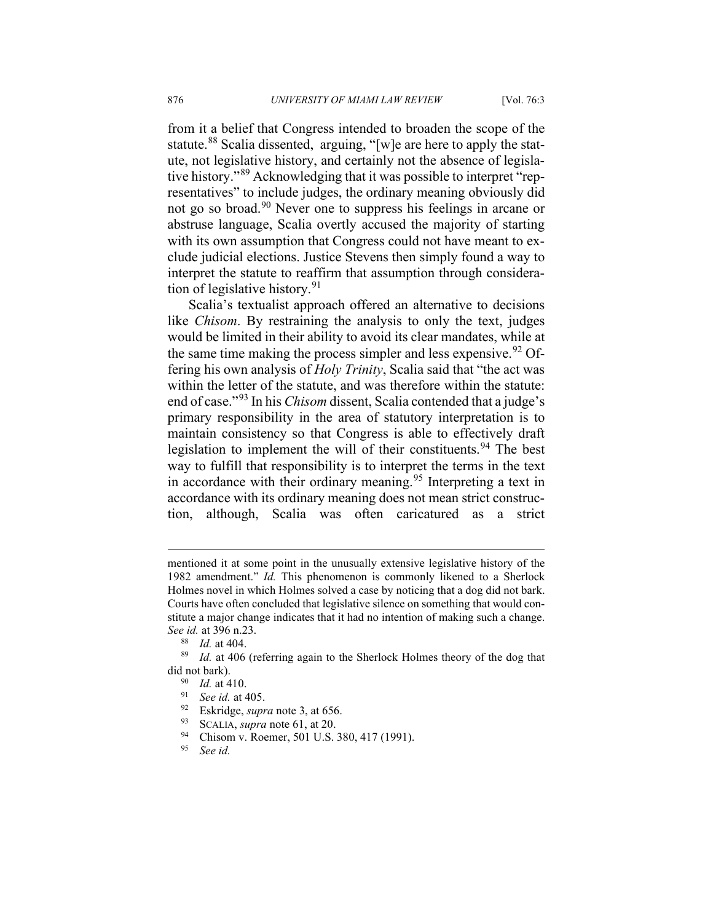from it a belief that Congress intended to broaden the scope of the statute.<sup>[88](#page-13-0)</sup> Scalia dissented, arguing, "[w]e are here to apply the statute, not legislative history, and certainly not the absence of legislative history."[89](#page-13-1) Acknowledging that it was possible to interpret "representatives" to include judges, the ordinary meaning obviously did not go so broad.[90](#page-13-2) Never one to suppress his feelings in arcane or abstruse language, Scalia overtly accused the majority of starting with its own assumption that Congress could not have meant to exclude judicial elections. Justice Stevens then simply found a way to interpret the statute to reaffirm that assumption through considera-tion of legislative history.<sup>[91](#page-13-3)</sup>

Scalia's textualist approach offered an alternative to decisions like *Chisom*. By restraining the analysis to only the text, judges would be limited in their ability to avoid its clear mandates, while at the same time making the process simpler and less expensive.  $92$  Offering his own analysis of *Holy Trinity*, Scalia said that "the act was within the letter of the statute, and was therefore within the statute: end of case."[93](#page-13-5) In his *Chisom* dissent, Scalia contended that a judge's primary responsibility in the area of statutory interpretation is to maintain consistency so that Congress is able to effectively draft legislation to implement the will of their constituents.<sup>[94](#page-13-6)</sup> The best way to fulfill that responsibility is to interpret the terms in the text in accordance with their ordinary meaning.<sup>[95](#page-13-7)</sup> Interpreting a text in accordance with its ordinary meaning does not mean strict construction, although, Scalia was often caricatured as a strict

- <span id="page-13-7"></span><span id="page-13-6"></span><sup>94</sup> Chisom v. Roemer, 501 U.S. 380, 417 (1991).
- <sup>95</sup> *See id.*

mentioned it at some point in the unusually extensive legislative history of the 1982 amendment." *Id.* This phenomenon is commonly likened to a Sherlock Holmes novel in which Holmes solved a case by noticing that a dog did not bark. Courts have often concluded that legislative silence on something that would constitute a major change indicates that it had no intention of making such a change. *See id.* at 396 n.23.

 $\frac{88}{89}$  *Id.* at 404.

<span id="page-13-5"></span><span id="page-13-4"></span><span id="page-13-3"></span><span id="page-13-2"></span><span id="page-13-1"></span><span id="page-13-0"></span>*Id.* at 406 (referring again to the Sherlock Holmes theory of the dog that did not bark).

 $\frac{90}{91}$  *Id.* at 410.

See id. at 405.

<sup>&</sup>lt;sup>92</sup> Eskridge, *supra* note 3, at 656.

 $^{93}$  SCALIA, *supra* note 61, at 20.<br><sup>94</sup> Chisom v Roemer, 501 U.S.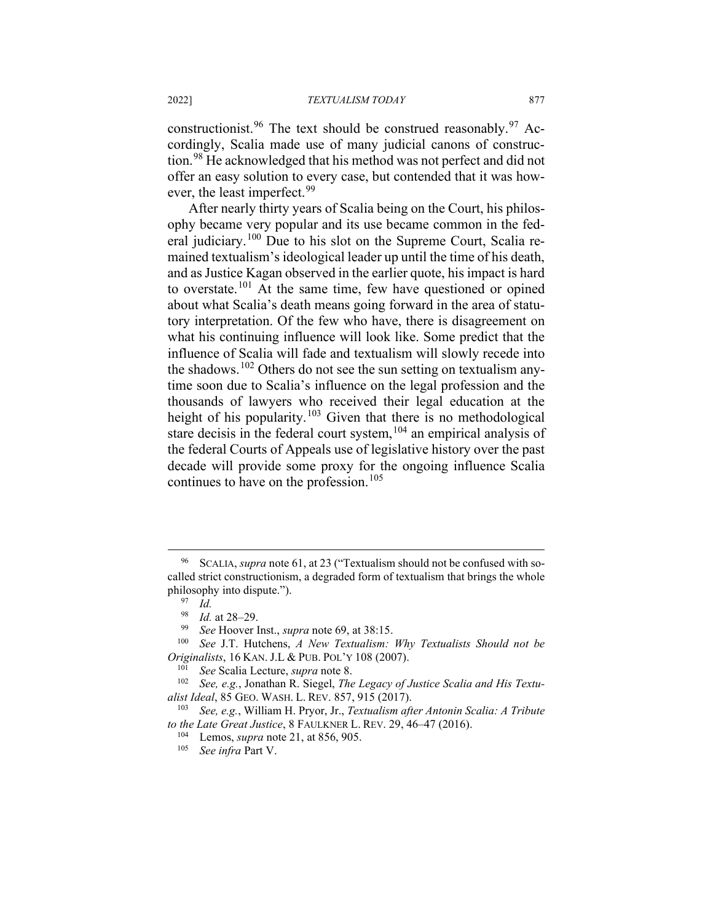constructionist.<sup>[96](#page-14-0)</sup> The text should be construed reasonably.<sup>[97](#page-14-1)</sup> Accordingly, Scalia made use of many judicial canons of construction.[98](#page-14-2) He acknowledged that his method was not perfect and did not offer an easy solution to every case, but contended that it was how-ever, the least imperfect.<sup>[99](#page-14-3)</sup>

After nearly thirty years of Scalia being on the Court, his philosophy became very popular and its use became common in the fed-eral judiciary.<sup>[100](#page-14-4)</sup> Due to his slot on the Supreme Court, Scalia remained textualism's ideological leader up until the time of his death, and as Justice Kagan observed in the earlier quote, his impact is hard to overstate.[101](#page-14-5) At the same time, few have questioned or opined about what Scalia's death means going forward in the area of statutory interpretation. Of the few who have, there is disagreement on what his continuing influence will look like. Some predict that the influence of Scalia will fade and textualism will slowly recede into the shadows.<sup>[102](#page-14-6)</sup> Others do not see the sun setting on textualism anytime soon due to Scalia's influence on the legal profession and the thousands of lawyers who received their legal education at the height of his popularity.<sup>[103](#page-14-7)</sup> Given that there is no methodological stare decisis in the federal court system,<sup>[104](#page-14-8)</sup> an empirical analysis of the federal Courts of Appeals use of legislative history over the past decade will provide some proxy for the ongoing influence Scalia continues to have on the profession. [105](#page-14-9)

<span id="page-14-1"></span><span id="page-14-0"></span><sup>96</sup> SCALIA, *supra* note 61, at 23 ("Textualism should not be confused with socalled strict constructionism, a degraded form of textualism that brings the whole philosophy into dispute.").

<sup>97</sup> *Id.*

 $\frac{98}{99}$  *Id.* at 28–29.

<sup>99</sup> *See* Hoover Inst., *supra* note 69, at 38:15.

<span id="page-14-4"></span><span id="page-14-3"></span><span id="page-14-2"></span>See J.T. Hutchens, *A New Textualism: Why Textualists Should not be Originalists*, 16 KAN. J.L & PUB. POL'Y 108 (2007).

<sup>101</sup> *See* Scalia Lecture, *supra* note 8.

<span id="page-14-6"></span><span id="page-14-5"></span>See, e.g., Jonathan R. Siegel, *The Legacy of Justice Scalia and His Textualist Ideal*, 85 GEO. WASH. L. REV. 857, 915 (2017).<br><sup>103</sup> See a.g. William H. Pryor, Jr. *Textualism off* 

<span id="page-14-9"></span><span id="page-14-8"></span><span id="page-14-7"></span><sup>103</sup> *See, e.g.*, William H. Pryor, Jr., *Textualism after Antonin Scalia: A Tribute to the Late Great Justice*, 8 FAULKNER L. REV. 29, 46–47 (2016).

<sup>104</sup> Lemos, *supra* note 21, at 856, 905.

<sup>105</sup> *See infra* Part V.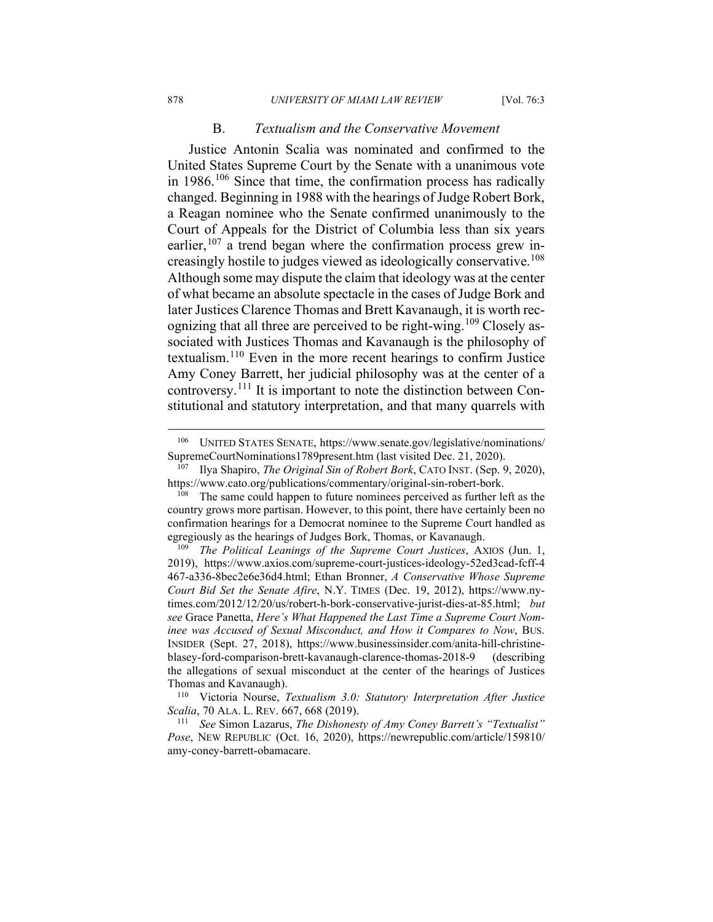#### B. *Textualism and the Conservative Movement*

Justice Antonin Scalia was nominated and confirmed to the United States Supreme Court by the Senate with a unanimous vote in  $1986$ <sup> $106$ </sup> Since that time, the confirmation process has radically changed. Beginning in 1988 with the hearings of Judge Robert Bork, a Reagan nominee who the Senate confirmed unanimously to the Court of Appeals for the District of Columbia less than six years earlier,  $107$  a trend began where the confirmation process grew in-creasingly hostile to judges viewed as ideologically conservative.<sup>[108](#page-15-2)</sup> Although some may dispute the claim that ideology was at the center of what became an absolute spectacle in the cases of Judge Bork and later Justices Clarence Thomas and Brett Kavanaugh, it is worth rec-ognizing that all three are perceived to be right-wing.<sup>[109](#page-15-3)</sup> Closely associated with Justices Thomas and Kavanaugh is the philosophy of textualism.[110](#page-15-4) Even in the more recent hearings to confirm Justice Amy Coney Barrett, her judicial philosophy was at the center of a controversy.[111](#page-15-5) It is important to note the distinction between Constitutional and statutory interpretation, and that many quarrels with

<span id="page-15-0"></span><sup>106</sup> UNITED STATES SENATE, https://www.senate.gov/legislative/nominations/ SupremeCourtNominations1789present.htm (last visited Dec. 21, 2020).

<span id="page-15-1"></span><sup>107</sup> Ilya Shapiro, *The Original Sin of Robert Bork*, CATO INST. (Sep. 9, 2020), https://www.cato.org/publications/commentary/original-sin-robert-bork.

<span id="page-15-2"></span> $108$  The same could happen to future nominees perceived as further left as the country grows more partisan. However, to this point, there have certainly been no confirmation hearings for a Democrat nominee to the Supreme Court handled as egregiously as the hearings of Judges Bork, Thomas, or Kavanaugh. 109 *The Political Leanings of the Supreme Court Justices*, AXIOS (Jun. 1,

<span id="page-15-3"></span><sup>2019),</sup> https://www.axios.com/supreme-court-justices-ideology-52ed3cad-fcff-4 467-a336-8bec2e6e36d4.html; Ethan Bronner, *A Conservative Whose Supreme Court Bid Set the Senate Afire*, N.Y. TIMES (Dec. 19, 2012), https://www.nytimes.com/2012/12/20/us/robert-h-bork-conservative-jurist-dies-at-85.html; *but see* Grace Panetta, *Here's What Happened the Last Time a Supreme Court Nominee was Accused of Sexual Misconduct, and How it Compares to Now*, BUS. INSIDER (Sept. 27, 2018), https://www.businessinsider.com/anita-hill-christineblasey-ford-comparison-brett-kavanaugh-clarence-thomas-2018-9 (describing the allegations of sexual misconduct at the center of the hearings of Justices Thomas and Kavanaugh).

<span id="page-15-4"></span><sup>110</sup> Victoria Nourse, *Textualism 3.0: Statutory Interpretation After Justice Scalia*, 70 ALA. L. REV. 667, 668 (2019).

<span id="page-15-5"></span><sup>111</sup> *See* Simon Lazarus, *The Dishonesty of Amy Coney Barrett's "Textualist" Pose*, NEW REPUBLIC (Oct. 16, 2020), https://newrepublic.com/article/159810/ amy-coney-barrett-obamacare.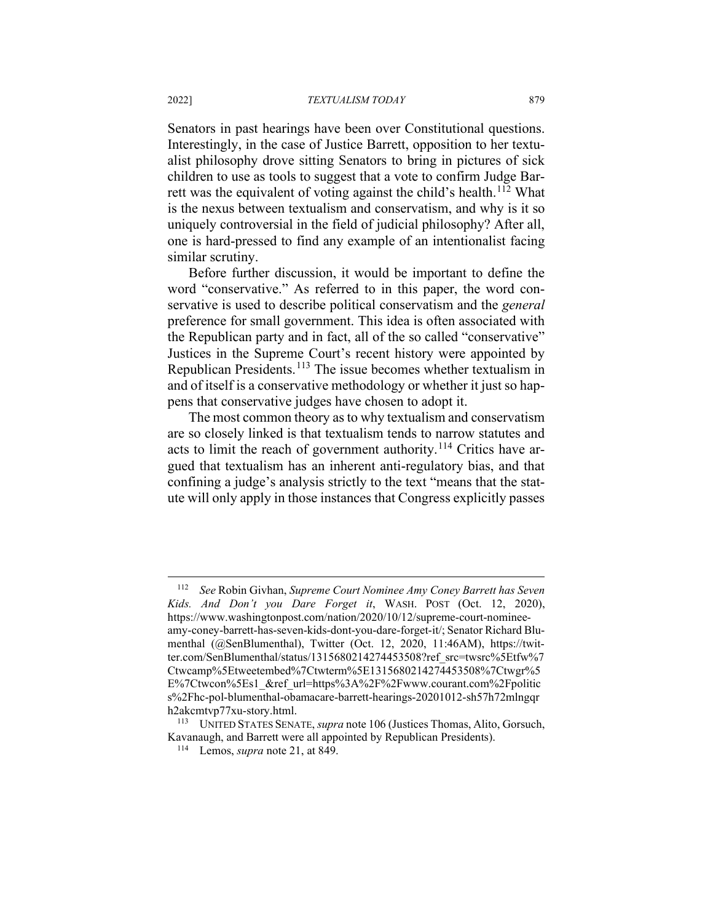Senators in past hearings have been over Constitutional questions. Interestingly, in the case of Justice Barrett, opposition to her textualist philosophy drove sitting Senators to bring in pictures of sick children to use as tools to suggest that a vote to confirm Judge Bar-rett was the equivalent of voting against the child's health.<sup>[112](#page-16-0)</sup> What is the nexus between textualism and conservatism, and why is it so uniquely controversial in the field of judicial philosophy? After all, one is hard-pressed to find any example of an intentionalist facing similar scrutiny.

Before further discussion, it would be important to define the word "conservative." As referred to in this paper, the word conservative is used to describe political conservatism and the *general*  preference for small government. This idea is often associated with the Republican party and in fact, all of the so called "conservative" Justices in the Supreme Court's recent history were appointed by Republican Presidents.[113](#page-16-1) The issue becomes whether textualism in and of itself is a conservative methodology or whether it just so happens that conservative judges have chosen to adopt it.

The most common theory as to why textualism and conservatism are so closely linked is that textualism tends to narrow statutes and acts to limit the reach of government authority.<sup>[114](#page-16-2)</sup> Critics have argued that textualism has an inherent anti-regulatory bias, and that confining a judge's analysis strictly to the text "means that the statute will only apply in those instances that Congress explicitly passes

<span id="page-16-0"></span><sup>112</sup> *See* Robin Givhan, *Supreme Court Nominee Amy Coney Barrett has Seven Kids. And Don't you Dare Forget it*, WASH. POST (Oct. 12, 2020), https://www.washingtonpost.com/nation/2020/10/12/supreme-court-nomineeamy-coney-barrett-has-seven-kids-dont-you-dare-forget-it/; Senator Richard Blumenthal (@SenBlumenthal), Twitter (Oct. 12, 2020, 11:46AM), https://twitter.com/SenBlumenthal/status/1315680214274453508?ref\_src=twsrc%5Etfw%7 Ctwcamp%5Etweetembed%7Ctwterm%5E1315680214274453508%7Ctwgr%5 E%7Ctwcon%5Es1\_&ref\_url=https%3A%2F%2Fwww.courant.com%2Fpolitic s%2Fhc-pol-blumenthal-obamacare-barrett-hearings-20201012-sh57h72mlngqr h2akcmtvp77xu-story.html.

<span id="page-16-2"></span><span id="page-16-1"></span><sup>113</sup> UNITED STATES SENATE, *supra* note 106 (Justices Thomas, Alito, Gorsuch, Kavanaugh, and Barrett were all appointed by Republican Presidents).

<sup>114</sup> Lemos, *supra* note 21, at 849.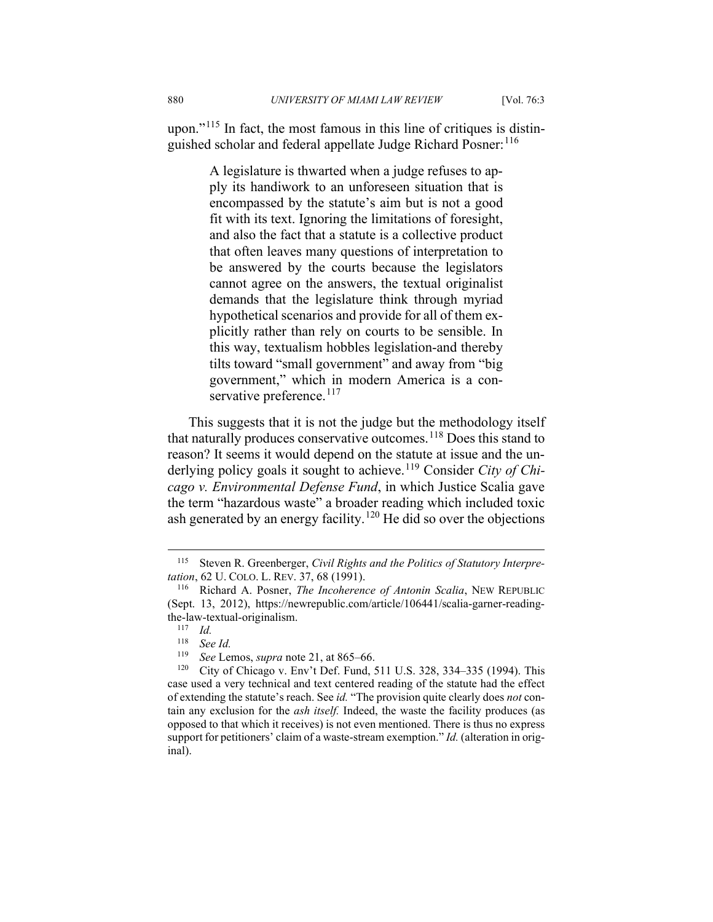upon."<sup>[115](#page-17-0)</sup> In fact, the most famous in this line of critiques is distinguished scholar and federal appellate Judge Richard Posner: [116](#page-17-1)

> A legislature is thwarted when a judge refuses to apply its handiwork to an unforeseen situation that is encompassed by the statute's aim but is not a good fit with its text. Ignoring the limitations of foresight, and also the fact that a statute is a collective product that often leaves many questions of interpretation to be answered by the courts because the legislators cannot agree on the answers, the textual originalist demands that the legislature think through myriad hypothetical scenarios and provide for all of them explicitly rather than rely on courts to be sensible. In this way, textualism hobbles legislation-and thereby tilts toward "small government" and away from "big government," which in modern America is a con-servative preference.<sup>[117](#page-17-2)</sup>

This suggests that it is not the judge but the methodology itself that naturally produces conservative outcomes.  $118$  Does this stand to reason? It seems it would depend on the statute at issue and the un-derlying policy goals it sought to achieve.<sup>[119](#page-17-4)</sup> Consider *City of Chicago v. Environmental Defense Fund*, in which Justice Scalia gave the term "hazardous waste" a broader reading which included toxic ash generated by an energy facility.<sup>[120](#page-17-5)</sup> He did so over the objections

<span id="page-17-0"></span><sup>115</sup> Steven R. Greenberger, *Civil Rights and the Politics of Statutory Interpretation*, 62 U. COLO. L. REV. 37, 68 (1991).

<span id="page-17-2"></span><span id="page-17-1"></span><sup>116</sup> Richard A. Posner, *The Incoherence of Antonin Scalia*, NEW REPUBLIC (Sept. 13, 2012), https://newrepublic.com/article/106441/scalia-garner-readingthe-law-textual-originalism.

 $\frac{117}{118}$  *Id.* 

<sup>&</sup>lt;sup>118</sup> *See Id.*<br><sup>119</sup> *See Le* 

*See* Lemos, *supra* note 21, at 865–66.

<span id="page-17-5"></span><span id="page-17-4"></span><span id="page-17-3"></span><sup>&</sup>lt;sup>120</sup> City of Chicago v. Env't Def. Fund, 511 U.S. 328, 334–335 (1994). This case used a very technical and text centered reading of the statute had the effect of extending the statute's reach. See *id.* "The provision quite clearly does *not* contain any exclusion for the *ash itself.* Indeed, the waste the facility produces (as opposed to that which it receives) is not even mentioned. There is thus no express support for petitioners' claim of a waste-stream exemption." *Id.* (alteration in original).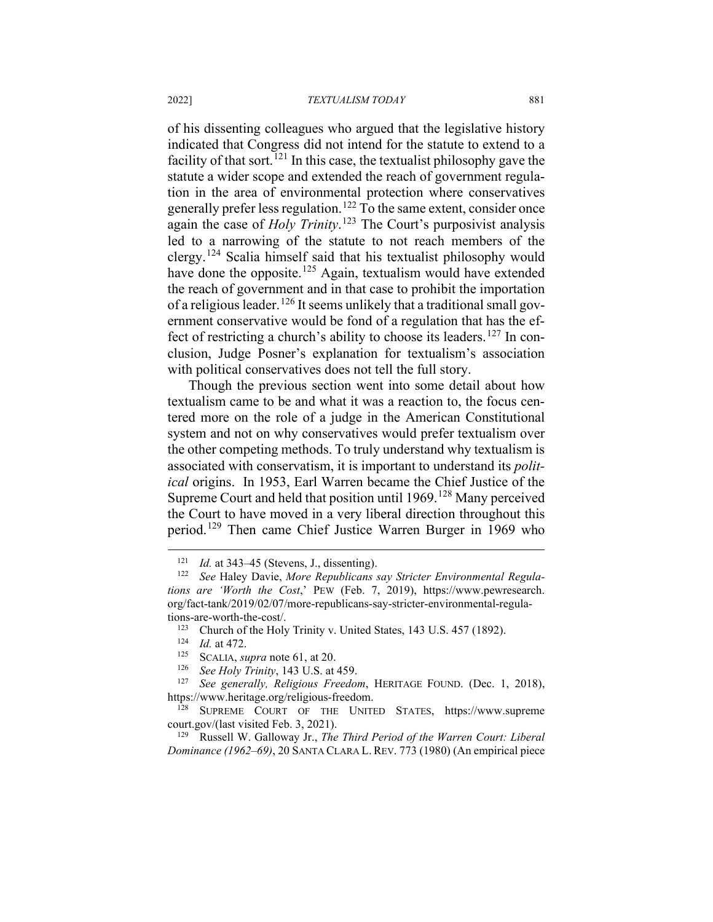of his dissenting colleagues who argued that the legislative history indicated that Congress did not intend for the statute to extend to a facility of that sort.<sup>[121](#page-18-0)</sup> In this case, the textualist philosophy gave the statute a wider scope and extended the reach of government regulation in the area of environmental protection where conservatives generally prefer less regulation.<sup>[122](#page-18-1)</sup> To the same extent, consider once again the case of *Holy Trinity*. [123](#page-18-2) The Court's purposivist analysis led to a narrowing of the statute to not reach members of the clergy.<sup>[124](#page-18-3)</sup> Scalia himself said that his textualist philosophy would have done the opposite.<sup>[125](#page-18-4)</sup> Again, textualism would have extended the reach of government and in that case to prohibit the importation of a religious leader.[126](#page-18-5) It seems unlikely that a traditional small government conservative would be fond of a regulation that has the ef-fect of restricting a church's ability to choose its leaders.<sup>[127](#page-18-6)</sup> In conclusion, Judge Posner's explanation for textualism's association with political conservatives does not tell the full story.

Though the previous section went into some detail about how textualism came to be and what it was a reaction to, the focus centered more on the role of a judge in the American Constitutional system and not on why conservatives would prefer textualism over the other competing methods. To truly understand why textualism is associated with conservatism, it is important to understand its *political* origins. In 1953, Earl Warren became the Chief Justice of the Supreme Court and held that position until 1969.<sup>[128](#page-18-7)</sup> Many perceived the Court to have moved in a very liberal direction throughout this period.<sup>[129](#page-18-8)</sup> Then came Chief Justice Warren Burger in 1969 who

<sup>&</sup>lt;sup>121</sup> *Id.* at 343–45 (Stevens, J., dissenting).<br><sup>122</sup> See Haley Davie, More Republicans

<span id="page-18-2"></span><span id="page-18-1"></span><span id="page-18-0"></span>See Haley Davie, More Republicans say Stricter Environmental Regula*tions are 'Worth the Cost*,' PEW (Feb. 7, 2019), https://www.pewresearch. org/fact-tank/2019/02/07/more-republicans-say-stricter-environmental-regulations-are-worth-the-cost/.

<sup>&</sup>lt;sup>123</sup> Church of the Holy Trinity v. United States, 143 U.S. 457 (1892).

 $\frac{124}{125}$  *Id.* at 472.

<sup>&</sup>lt;sup>125</sup> SCALIA, *supra* note 61, at 20.<br><sup>126</sup> See Holy Trinity, 143 U.S. at

<sup>126</sup> *See Holy Trinity*, 143 U.S. at 459.

<span id="page-18-6"></span><span id="page-18-5"></span><span id="page-18-4"></span><span id="page-18-3"></span><sup>127</sup> *See generally, Religious Freedom*, HERITAGE FOUND. (Dec. 1, 2018), https://www.heritage.org/religious-freedom.

<span id="page-18-7"></span><sup>128</sup> SUPREME COURT OF THE UNITED STATES, https://www.supreme court.gov/(last visited Feb. 3, 2021).

<span id="page-18-8"></span><sup>129</sup> Russell W. Galloway Jr., *The Third Period of the Warren Court: Liberal Dominance (1962–69)*, 20 SANTA CLARA L. REV. 773 (1980) (An empirical piece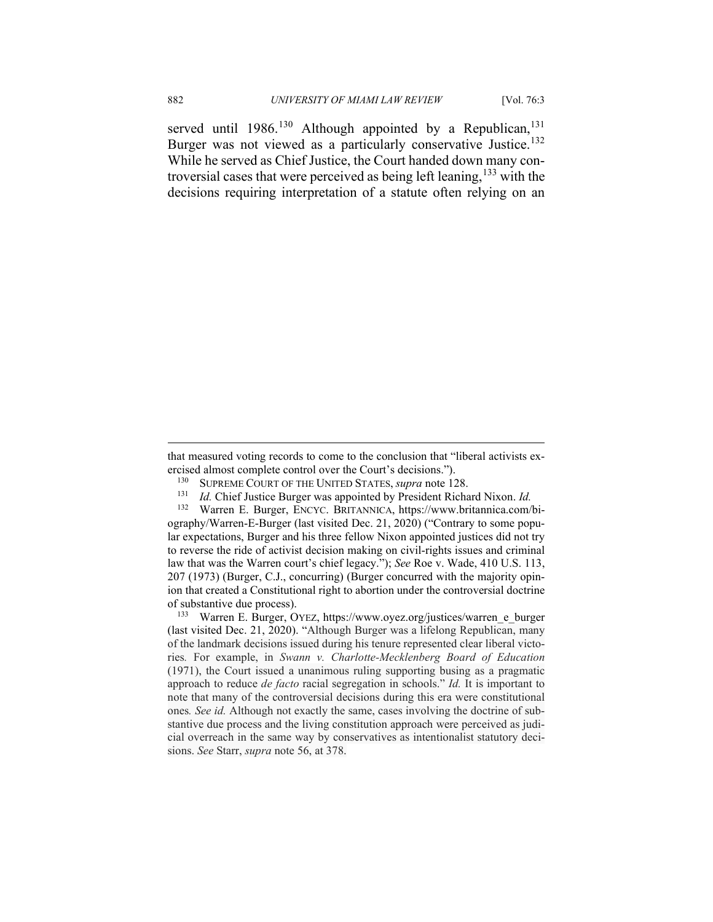served until  $1986$ .<sup>[130](#page-19-0)</sup> Although appointed by a Republican,<sup>[131](#page-19-1)</sup> Burger was not viewed as a particularly conservative Justice.<sup>[132](#page-19-2)</sup> While he served as Chief Justice, the Court handed down many controversial cases that were perceived as being left leaning,  $^{133}$  $^{133}$  $^{133}$  with the decisions requiring interpretation of a statute often relying on an

- <sup>130</sup> SUPREME COURT OF THE UNITED STATES, *supra* note 128.<br><sup>131</sup> Id. Chief Iustice Burger was appointed by President Richa
- <sup>131</sup> *Id.* Chief Justice Burger was appointed by President Richard Nixon. *Id.*

<sup>132</sup> Warren E. Burger, ENCYC. BRITANNICA, https://www.britannica.com/bi-

<span id="page-19-2"></span><span id="page-19-1"></span>ography/Warren-E-Burger (last visited Dec. 21, 2020) ("Contrary to some popular expectations, Burger and his three fellow Nixon appointed justices did not try to reverse the ride of activist decision making on civil-rights issues and criminal law that was the Warren court's chief legacy."); *See* Roe v. Wade, 410 U.S. 113, 207 (1973) (Burger, C.J., concurring) (Burger concurred with the majority opinion that created a Constitutional right to abortion under the controversial doctrine of substantive due process).

<span id="page-19-3"></span><sup>133</sup> Warren E. Burger, OYEZ, https://www.oyez.org/justices/warren\_e\_burger (last visited Dec. 21, 2020). "Although Burger was a lifelong Republican, many of the landmark decisions issued during his tenure represented clear liberal victories*.* For example, in *Swann v. Charlotte-Mecklenberg Board of Education* (1971), the Court issued a unanimous ruling supporting busing as a pragmatic approach to reduce *de facto* racial segregation in schools." *Id.* It is important to note that many of the controversial decisions during this era were constitutional ones*. See id.* Although not exactly the same, cases involving the doctrine of substantive due process and the living constitution approach were perceived as judicial overreach in the same way by conservatives as intentionalist statutory decisions. *See* Starr, *supra* note 56, at 378.

<span id="page-19-0"></span>that measured voting records to come to the conclusion that "liberal activists exercised almost complete control over the Court's decisions.").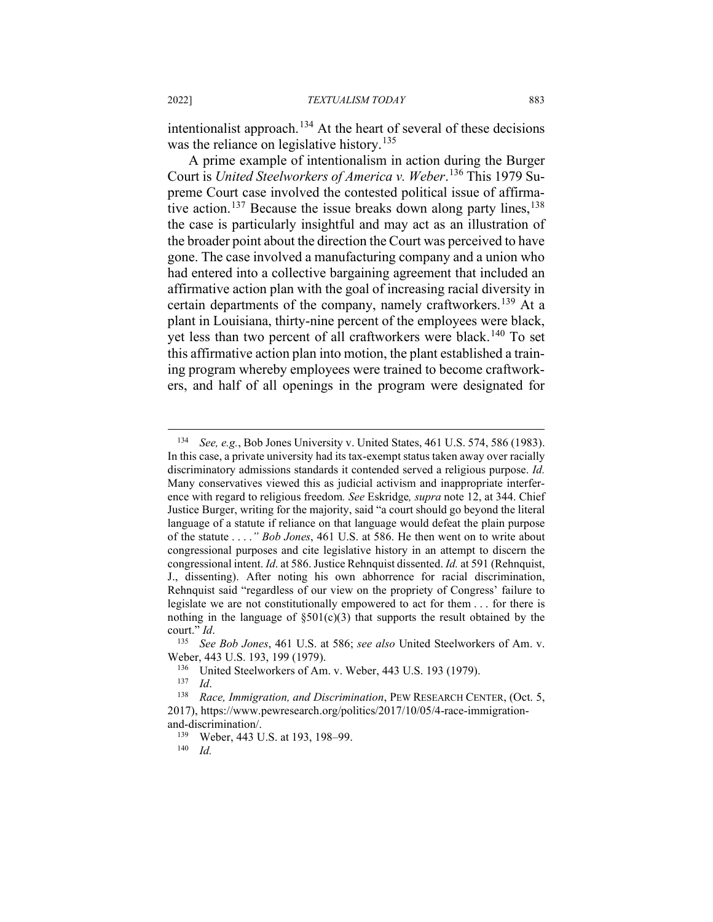intentionalist approach.<sup>[134](#page-20-0)</sup> At the heart of several of these decisions was the reliance on legislative history.<sup>[135](#page-20-1)</sup>

A prime example of intentionalism in action during the Burger Court is *United Steelworkers of America v. Weber*. [136](#page-20-2) This 1979 Supreme Court case involved the contested political issue of affirma-tive action.<sup>[137](#page-20-3)</sup> Because the issue breaks down along party lines,  $138$ the case is particularly insightful and may act as an illustration of the broader point about the direction the Court was perceived to have gone. The case involved a manufacturing company and a union who had entered into a collective bargaining agreement that included an affirmative action plan with the goal of increasing racial diversity in certain departments of the company, namely craftworkers.<sup>[139](#page-20-5)</sup> At a plant in Louisiana, thirty-nine percent of the employees were black, yet less than two percent of all craftworkers were black.<sup>[140](#page-20-6)</sup> To set this affirmative action plan into motion, the plant established a training program whereby employees were trained to become craftworkers, and half of all openings in the program were designated for

<span id="page-20-0"></span><sup>134</sup> *See, e.g.*, Bob Jones University v. United States, 461 U.S. 574, 586 (1983). In this case, a private university had its tax-exempt status taken away over racially discriminatory admissions standards it contended served a religious purpose. *Id.* Many conservatives viewed this as judicial activism and inappropriate interference with regard to religious freedom*. See* Eskridge*, supra* note 12, at 344. Chief Justice Burger, writing for the majority, said "a court should go beyond the literal language of a statute if reliance on that language would defeat the plain purpose of the statute . . . .*" Bob Jones*, 461 U.S. at 586. He then went on to write about congressional purposes and cite legislative history in an attempt to discern the congressional intent. *Id*. at 586. Justice Rehnquist dissented. *Id.* at 591 (Rehnquist, J., dissenting). After noting his own abhorrence for racial discrimination, Rehnquist said "regardless of our view on the propriety of Congress' failure to legislate we are not constitutionally empowered to act for them . . . for there is nothing in the language of  $\S501(c)(3)$  that supports the result obtained by the court." *Id*.

<span id="page-20-1"></span><sup>135</sup> *See Bob Jones*, 461 U.S. at 586; *see also* United Steelworkers of Am. v. Weber, 443 U.S. 193, 199 (1979).

<sup>&</sup>lt;sup>136</sup> United Steelworkers of Am. v. Weber, 443 U.S. 193 (1979).

 $\frac{137}{138}$  *Id.* 

<span id="page-20-6"></span><span id="page-20-5"></span><span id="page-20-4"></span><span id="page-20-3"></span><span id="page-20-2"></span><sup>138</sup> *Race, Immigration, and Discrimination*, PEW RESEARCH CENTER, (Oct. 5, 2017), https://www.pewresearch.org/politics/2017/10/05/4-race-immigrationand-discrimination/.

<sup>&</sup>lt;sup>139</sup> Weber, 443 U.S. at 193, 198–99.<br><sup>140</sup> Id

*Id.*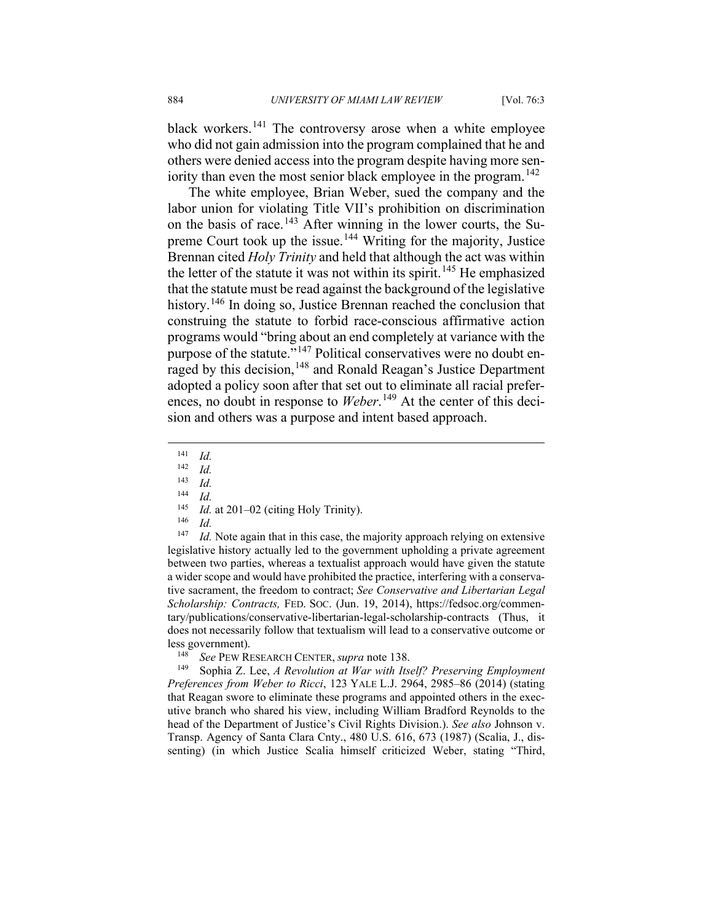black workers.<sup>[141](#page-21-0)</sup> The controversy arose when a white employee who did not gain admission into the program complained that he and others were denied access into the program despite having more sen-iority than even the most senior black employee in the program.<sup>[142](#page-21-1)</sup>

The white employee, Brian Weber, sued the company and the labor union for violating Title VII's prohibition on discrimination on the basis of race.<sup>[143](#page-21-2)</sup> After winning in the lower courts, the Su-preme Court took up the issue.<sup>[144](#page-21-3)</sup> Writing for the majority, Justice Brennan cited *Holy Trinity* and held that although the act was within the letter of the statute it was not within its spirit.<sup>[145](#page-21-4)</sup> He emphasized that the statute must be read against the background of the legislative history.<sup>[146](#page-21-5)</sup> In doing so, Justice Brennan reached the conclusion that construing the statute to forbid race-conscious affirmative action programs would "bring about an end completely at variance with the purpose of the statute."<sup>[147](#page-21-6)</sup> Political conservatives were no doubt en-raged by this decision,<sup>[148](#page-21-7)</sup> and Ronald Reagan's Justice Department adopted a policy soon after that set out to eliminate all racial prefer-ences, no doubt in response to Weber.<sup>[149](#page-21-8)</sup> At the center of this decision and others was a purpose and intent based approach.

 $\frac{143}{144}$  *Id.* 

- <sup>145</sup> *Id.* at 201–02 (citing Holy Trinity).
- $\frac{146}{147}$  *Id.*

<span id="page-21-6"></span><span id="page-21-5"></span><span id="page-21-4"></span><span id="page-21-3"></span><span id="page-21-2"></span>*Id.* Note again that in this case, the majority approach relying on extensive legislative history actually led to the government upholding a private agreement between two parties, whereas a textualist approach would have given the statute a wider scope and would have prohibited the practice, interfering with a conservative sacrament, the freedom to contract; *See Conservative and Libertarian Legal Scholarship: Contracts,* FED. SOC. (Jun. 19, 2014), https://fedsoc.org/commentary/publications/conservative-libertarian-legal-scholarship-contracts (Thus, it does not necessarily follow that textualism will lead to a conservative outcome or less government).

<span id="page-21-8"></span><span id="page-21-7"></span><sup>148</sup> *See* PEW RESEARCH CENTER, *supra* note 138. 149 Sophia Z. Lee, *A Revolution at War with Itself? Preserving Employment Preferences from Weber to Ricci*, 123 YALE L.J. 2964, 2985–86 (2014) (stating that Reagan swore to eliminate these programs and appointed others in the executive branch who shared his view, including William Bradford Reynolds to the head of the Department of Justice's Civil Rights Division.). *See also* Johnson v. Transp. Agency of Santa Clara Cnty., 480 U.S. 616, 673 (1987) (Scalia, J., dissenting) (in which Justice Scalia himself criticized Weber, stating "Third,

<span id="page-21-0"></span> $\frac{141}{142}$  *Id.* 

<span id="page-21-1"></span> $\frac{142}{143}$  *Id.* 

 $\frac{144}{145}$  *Id.*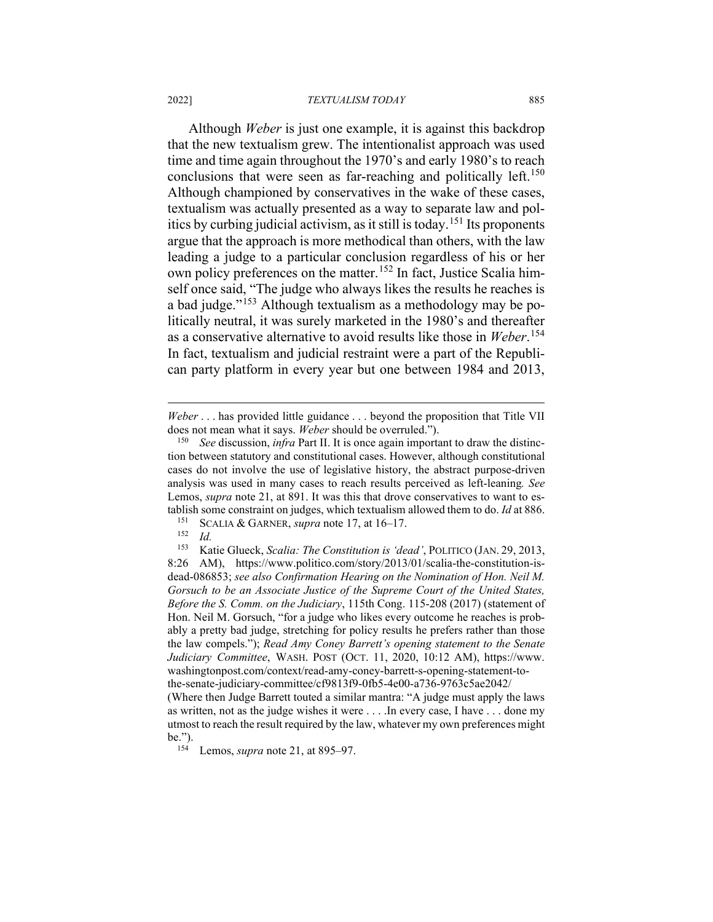#### 2022] *TEXTUALISM TODAY* 885

Although *Weber* is just one example, it is against this backdrop that the new textualism grew. The intentionalist approach was used time and time again throughout the 1970's and early 1980's to reach conclusions that were seen as far-reaching and politically left.<sup>[150](#page-22-0)</sup> Although championed by conservatives in the wake of these cases, textualism was actually presented as a way to separate law and politics by curbing judicial activism, as it still is today.[151](#page-22-1) Its proponents argue that the approach is more methodical than others, with the law leading a judge to a particular conclusion regardless of his or her own policy preferences on the matter.<sup>[152](#page-22-2)</sup> In fact, Justice Scalia himself once said, "The judge who always likes the results he reaches is a bad judge."[153](#page-22-3) Although textualism as a methodology may be politically neutral, it was surely marketed in the 1980's and thereafter as a conservative alternative to avoid results like those in *Weber*. [154](#page-22-4) In fact, textualism and judicial restraint were a part of the Republican party platform in every year but one between 1984 and 2013,

*Weber* . . . has provided little guidance . . . beyond the proposition that Title VII does not mean what it says. *Weber* should be overruled.").

<span id="page-22-0"></span><sup>150</sup> *See* discussion, *infra* Part II. It is once again important to draw the distinction between statutory and constitutional cases. However, although constitutional cases do not involve the use of legislative history, the abstract purpose-driven analysis was used in many cases to reach results perceived as left-leaning*. See*  Lemos, *supra* note 21, at 891. It was this that drove conservatives to want to establish some constraint on judges, which textualism allowed them to do. *Id* at 886.<br><sup>151</sup> SCALLA & GARNER supra note 17 at 16–17

<sup>&</sup>lt;sup>151</sup> SCALIA & GARNER, *supra* note 17, at 16–17.<br><sup>152</sup> Id

 $\frac{152}{153}$  *Id.* 

<span id="page-22-3"></span><span id="page-22-2"></span><span id="page-22-1"></span><sup>153</sup> Katie Glueck, *Scalia: The Constitution is 'dead'*, POLITICO (JAN. 29, 2013, 8:26 AM), https://www.politico.com/story/2013/01/scalia-the-constitution-isdead-086853; *see also Confirmation Hearing on the Nomination of Hon. Neil M. Gorsuch to be an Associate Justice of the Supreme Court of the United States, Before the S. Comm. on the Judiciary*, 115th Cong. 115-208 (2017) (statement of Hon. Neil M. Gorsuch, "for a judge who likes every outcome he reaches is probably a pretty bad judge, stretching for policy results he prefers rather than those the law compels."); *Read Amy Coney Barrett's opening statement to the Senate Judiciary Committee*, WASH. POST (OCT. 11, 2020, 10:12 AM), https://www. washingtonpost.com/context/read-amy-coney-barrett-s-opening-statement-tothe-senate-judiciary-committee/cf9813f9-0fb5-4e00-a736-9763c5ae2042/ (Where then Judge Barrett touted a similar mantra: "A judge must apply the laws as written, not as the judge wishes it were . . . .In every case, I have . . . done my utmost to reach the result required by the law, whatever my own preferences might be.").

<span id="page-22-4"></span><sup>154</sup> Lemos, *supra* note 21, at 895–97.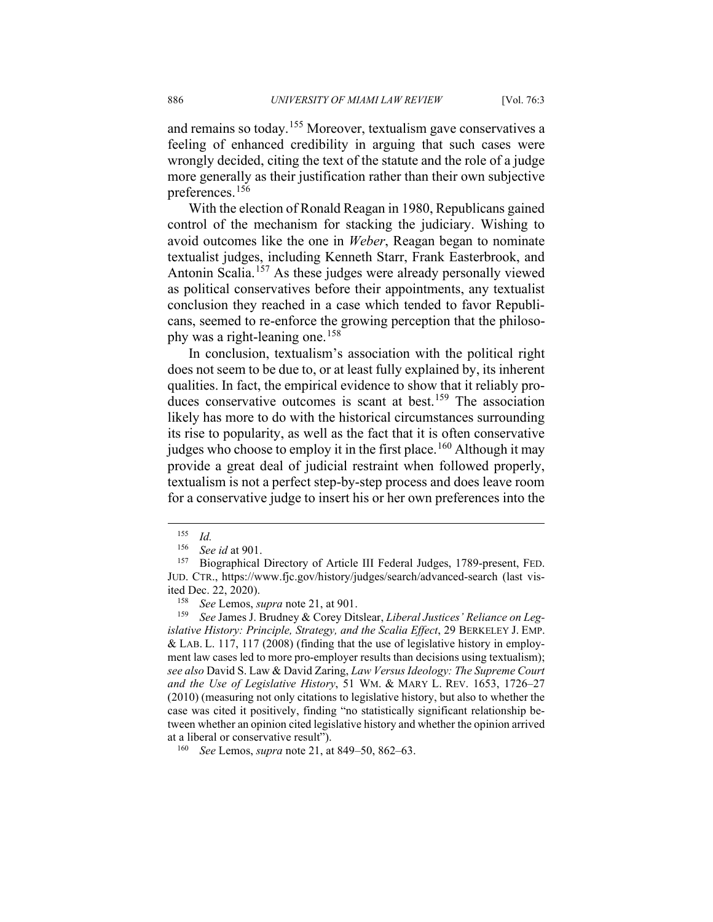and remains so today.<sup>[155](#page-23-0)</sup> Moreover, textualism gave conservatives a feeling of enhanced credibility in arguing that such cases were wrongly decided, citing the text of the statute and the role of a judge more generally as their justification rather than their own subjective preferences.[156](#page-23-1)

With the election of Ronald Reagan in 1980, Republicans gained control of the mechanism for stacking the judiciary. Wishing to avoid outcomes like the one in *Weber*, Reagan began to nominate textualist judges, including Kenneth Starr, Frank Easterbrook, and Antonin Scalia.<sup>[157](#page-23-2)</sup> As these judges were already personally viewed as political conservatives before their appointments, any textualist conclusion they reached in a case which tended to favor Republicans, seemed to re-enforce the growing perception that the philoso-phy was a right-leaning one.<sup>[158](#page-23-3)</sup>

In conclusion, textualism's association with the political right does not seem to be due to, or at least fully explained by, its inherent qualities. In fact, the empirical evidence to show that it reliably pro-duces conservative outcomes is scant at best.<sup>[159](#page-23-4)</sup> The association likely has more to do with the historical circumstances surrounding its rise to popularity, as well as the fact that it is often conservative judges who choose to employ it in the first place.<sup>[160](#page-23-5)</sup> Although it may provide a great deal of judicial restraint when followed properly, textualism is not a perfect step-by-step process and does leave room for a conservative judge to insert his or her own preferences into the

 $\frac{155}{156}$  *Id.* 

 $\frac{156}{157}$  *See id* at 901.

<span id="page-23-2"></span><span id="page-23-1"></span><span id="page-23-0"></span>Biographical Directory of Article III Federal Judges, 1789-present, FED. JUD. CTR., https://www.fjc.gov/history/judges/search/advanced-search (last visited Dec. 22, 2020).

<sup>158</sup> *See* Lemos, *supra* note 21, at 901.

<span id="page-23-4"></span><span id="page-23-3"></span><sup>159</sup> *See* James J. Brudney & Corey Ditslear, *Liberal Justices' Reliance on Legislative History: Principle, Strategy, and the Scalia Effect*, 29 BERKELEY J. EMP. & LAB. L. 117, 117 (2008) (finding that the use of legislative history in employment law cases led to more pro-employer results than decisions using textualism); *see also* David S. Law & David Zaring, *Law Versus Ideology: The Supreme Court and the Use of Legislative History*, 51 WM. & MARY L. REV. 1653, 1726–27 (2010) (measuring not only citations to legislative history, but also to whether the case was cited it positively, finding "no statistically significant relationship between whether an opinion cited legislative history and whether the opinion arrived at a liberal or conservative result").

<span id="page-23-5"></span><sup>160</sup> *See* Lemos, *supra* note 21, at 849–50, 862–63.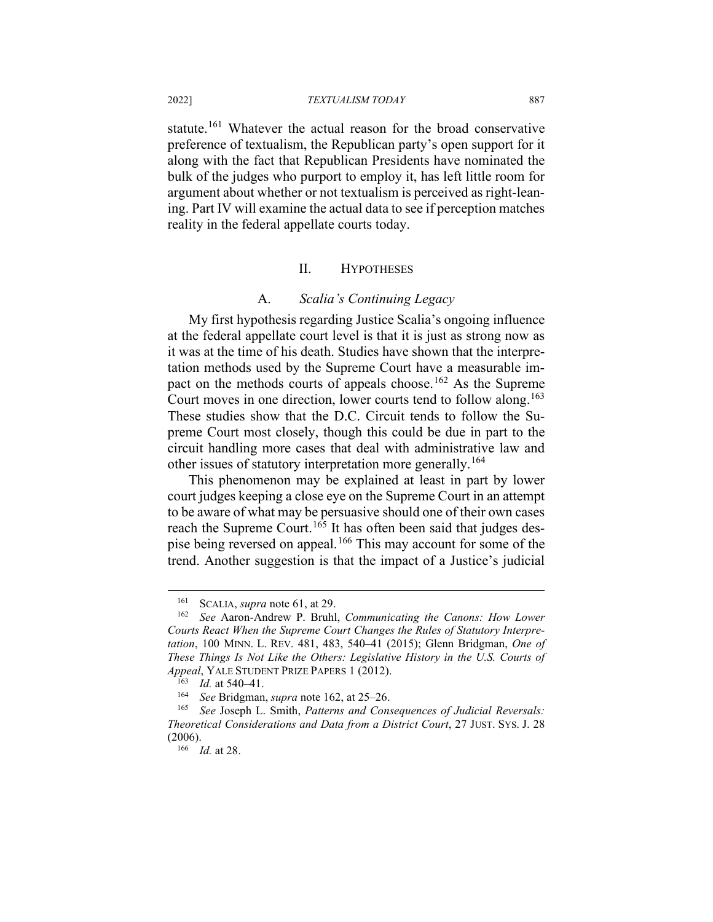statute.<sup>[161](#page-24-0)</sup> Whatever the actual reason for the broad conservative preference of textualism, the Republican party's open support for it along with the fact that Republican Presidents have nominated the bulk of the judges who purport to employ it, has left little room for argument about whether or not textualism is perceived as right-leaning. Part IV will examine the actual data to see if perception matches reality in the federal appellate courts today.

### II. HYPOTHESES

#### A. *Scalia's Continuing Legacy*

My first hypothesis regarding Justice Scalia's ongoing influence at the federal appellate court level is that it is just as strong now as it was at the time of his death. Studies have shown that the interpretation methods used by the Supreme Court have a measurable im-pact on the methods courts of appeals choose.<sup>[162](#page-24-1)</sup> As the Supreme Court moves in one direction, lower courts tend to follow along.<sup>[163](#page-24-2)</sup> These studies show that the D.C. Circuit tends to follow the Supreme Court most closely, though this could be due in part to the circuit handling more cases that deal with administrative law and other issues of statutory interpretation more generally.<sup>[164](#page-24-3)</sup>

This phenomenon may be explained at least in part by lower court judges keeping a close eye on the Supreme Court in an attempt to be aware of what may be persuasive should one of their own cases reach the Supreme Court.<sup>[165](#page-24-4)</sup> It has often been said that judges despise being reversed on appeal.[166](#page-24-5) This may account for some of the trend. Another suggestion is that the impact of a Justice's judicial

<sup>&</sup>lt;sup>161</sup> SCALIA, *supra* note 61, at 29.<br><sup>162</sup> See Aaron-Andrew P Bruhl

<span id="page-24-1"></span><span id="page-24-0"></span><sup>162</sup> *See* Aaron-Andrew P. Bruhl, *Communicating the Canons: How Lower Courts React When the Supreme Court Changes the Rules of Statutory Interpretation*, 100 MINN. L. REV. 481, 483, 540–41 (2015); Glenn Bridgman, *One of These Things Is Not Like the Others: Legislative History in the U.S. Courts of Appeal*, YALE STUDENT PRIZE PAPERS 1 (2012).

<sup>&</sup>lt;sup>163</sup> *Id.* at 540–41.<br><sup>164</sup> See Bridgman

<sup>164</sup> *See* Bridgman, *supra* note 162, at 25–26.

<span id="page-24-5"></span><span id="page-24-4"></span><span id="page-24-3"></span><span id="page-24-2"></span><sup>165</sup> *See* Joseph L. Smith, *Patterns and Consequences of Judicial Reversals: Theoretical Considerations and Data from a District Court*, 27 JUST. SYS. J. 28 (2006).

<sup>166</sup> *Id.* at 28.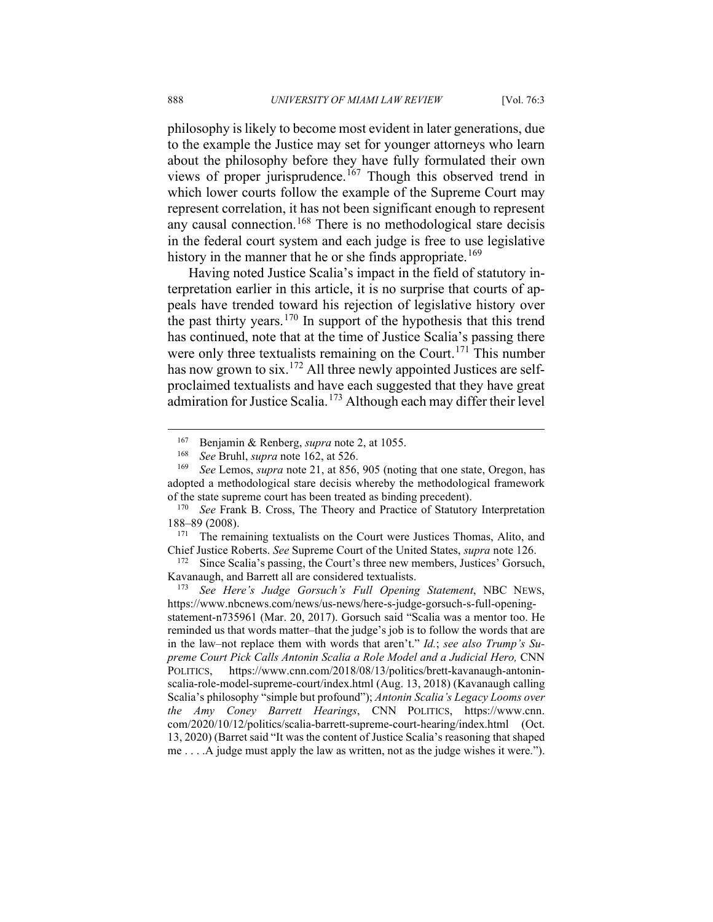philosophy is likely to become most evident in later generations, due to the example the Justice may set for younger attorneys who learn about the philosophy before they have fully formulated their own views of proper jurisprudence.<sup>[167](#page-25-0)</sup> Though this observed trend in which lower courts follow the example of the Supreme Court may represent correlation, it has not been significant enough to represent any causal connection.[168](#page-25-1) There is no methodological stare decisis in the federal court system and each judge is free to use legislative history in the manner that he or she finds appropriate.<sup>[169](#page-25-2)</sup>

Having noted Justice Scalia's impact in the field of statutory interpretation earlier in this article, it is no surprise that courts of appeals have trended toward his rejection of legislative history over the past thirty years. $170$  In support of the hypothesis that this trend has continued, note that at the time of Justice Scalia's passing there were only three textualists remaining on the Court.<sup>[171](#page-25-4)</sup> This number has now grown to six.<sup>[172](#page-25-5)</sup> All three newly appointed Justices are selfproclaimed textualists and have each suggested that they have great admiration for Justice Scalia.<sup>[173](#page-25-6)</sup> Although each may differ their level

<sup>167</sup> Benjamin & Renberg, *supra* note 2, at 1055.

<sup>168</sup> *See* Bruhl, *supra* note 162, at 526.

<span id="page-25-2"></span><span id="page-25-1"></span><span id="page-25-0"></span>*See Lemos, supra note 21, at 856, 905 (noting that one state, Oregon, has* adopted a methodological stare decisis whereby the methodological framework of the state supreme court has been treated as binding precedent).

<span id="page-25-3"></span><sup>170</sup> *See* Frank B. Cross, The Theory and Practice of Statutory Interpretation 188–89 (2008).

<span id="page-25-4"></span>The remaining textualists on the Court were Justices Thomas, Alito, and Chief Justice Roberts. *See* Supreme Court of the United States, *supra* note 126.

<span id="page-25-5"></span>Since Scalia's passing, the Court's three new members, Justices' Gorsuch, Kavanaugh, and Barrett all are considered textualists.

<span id="page-25-6"></span><sup>173</sup> *See Here's Judge Gorsuch's Full Opening Statement*, NBC NEWS, https://www.nbcnews.com/news/us-news/here-s-judge-gorsuch-s-full-openingstatement-n735961 (Mar. 20, 2017). Gorsuch said "Scalia was a mentor too. He reminded us that words matter–that the judge's job is to follow the words that are in the law–not replace them with words that aren't." *Id.*; *see also Trump's Supreme Court Pick Calls Antonin Scalia a Role Model and a Judicial Hero,* CNN POLITICS, https://www.cnn.com/2018/08/13/politics/brett-kavanaugh-antoninscalia-role-model-supreme-court/index.html (Aug. 13, 2018) (Kavanaugh calling Scalia's philosophy "simple but profound"); *Antonin Scalia's Legacy Looms over the Amy Coney Barrett Hearings*, CNN POLITICS, https://www.cnn. com/2020/10/12/politics/scalia-barrett-supreme-court-hearing/index.html (Oct. 13, 2020) (Barret said "It was the content of Justice Scalia's reasoning that shaped me . . . .A judge must apply the law as written, not as the judge wishes it were.").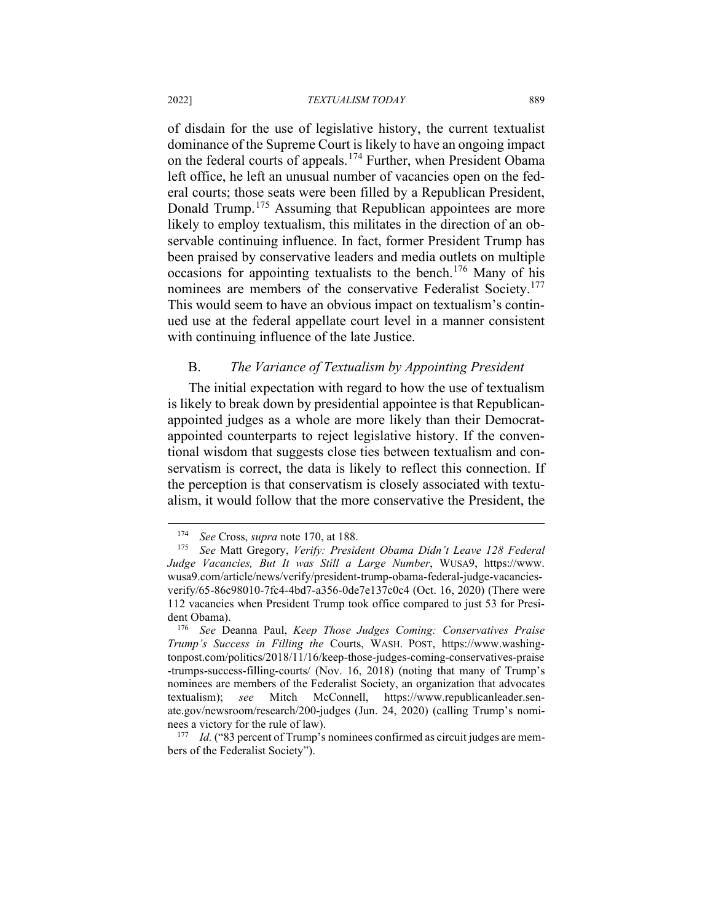of disdain for the use of legislative history, the current textualist dominance of the Supreme Court is likely to have an ongoing impact on the federal courts of appeals.[174](#page-26-0) Further, when President Obama left office, he left an unusual number of vacancies open on the federal courts; those seats were been filled by a Republican President, Donald Trump.<sup>[175](#page-26-1)</sup> Assuming that Republican appointees are more likely to employ textualism, this militates in the direction of an observable continuing influence. In fact, former President Trump has been praised by conservative leaders and media outlets on multiple occasions for appointing textualists to the bench.<sup>[176](#page-26-2)</sup> Many of his nominees are members of the conservative Federalist Society.<sup>[177](#page-26-3)</sup> This would seem to have an obvious impact on textualism's continued use at the federal appellate court level in a manner consistent with continuing influence of the late Justice.

#### B. *The Variance of Textualism by Appointing President*

The initial expectation with regard to how the use of textualism is likely to break down by presidential appointee is that Republicanappointed judges as a whole are more likely than their Democratappointed counterparts to reject legislative history. If the conventional wisdom that suggests close ties between textualism and conservatism is correct, the data is likely to reflect this connection. If the perception is that conservatism is closely associated with textualism, it would follow that the more conservative the President, the

<sup>174</sup> *See* Cross, *supra* note 170, at 188.

<span id="page-26-1"></span><span id="page-26-0"></span><sup>175</sup> *See* Matt Gregory, *Verify: President Obama Didn't Leave 128 Federal Judge Vacancies, But It was Still a Large Number*, WUSA9, https://www. wusa9.com/article/news/verify/president-trump-obama-federal-judge-vacanciesverify/65-86c98010-7fc4-4bd7-a356-0de7e137c0c4 (Oct. 16, 2020) (There were 112 vacancies when President Trump took office compared to just 53 for President Obama).

<span id="page-26-2"></span><sup>176</sup> *See* Deanna Paul, *Keep Those Judges Coming: Conservatives Praise Trump's Success in Filling the* Courts, WASH. POST, https://www.washingtonpost.com/politics/2018/11/16/keep-those-judges-coming-conservatives-praise -trumps-success-filling-courts/ (Nov. 16, 2018) (noting that many of Trump's nominees are members of the Federalist Society, an organization that advocates textualism); *see* Mitch McConnell, https://www.republicanleader.senate.gov/newsroom/research/200-judges (Jun. 24, 2020) (calling Trump's nominees a victory for the rule of law).

<span id="page-26-3"></span><sup>&</sup>lt;sup>177</sup> *Id.* ("83 percent of Trump's nominees confirmed as circuit judges are members of the Federalist Society").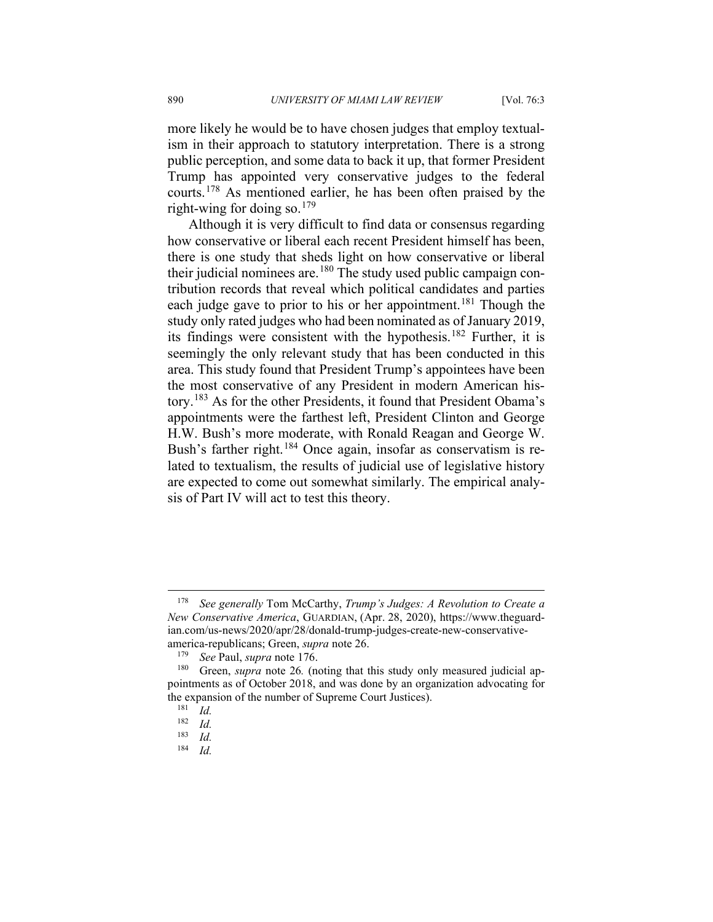more likely he would be to have chosen judges that employ textualism in their approach to statutory interpretation. There is a strong public perception, and some data to back it up, that former President Trump has appointed very conservative judges to the federal courts.<sup>[178](#page-27-0)</sup> As mentioned earlier, he has been often praised by the right-wing for doing so.<sup>[179](#page-27-1)</sup>

Although it is very difficult to find data or consensus regarding how conservative or liberal each recent President himself has been, there is one study that sheds light on how conservative or liberal their judicial nominees are.<sup>[180](#page-27-2)</sup> The study used public campaign contribution records that reveal which political candidates and parties each judge gave to prior to his or her appointment.<sup>[181](#page-27-3)</sup> Though the study only rated judges who had been nominated as of January 2019, its findings were consistent with the hypothesis. [182](#page-27-4) Further, it is seemingly the only relevant study that has been conducted in this area. This study found that President Trump's appointees have been the most conservative of any President in modern American history.[183](#page-27-5) As for the other Presidents, it found that President Obama's appointments were the farthest left, President Clinton and George H.W. Bush's more moderate, with Ronald Reagan and George W. Bush's farther right.<sup>[184](#page-27-6)</sup> Once again, insofar as conservatism is related to textualism, the results of judicial use of legislative history are expected to come out somewhat similarly. The empirical analysis of Part IV will act to test this theory.

<span id="page-27-0"></span><sup>178</sup> *See generally* Tom McCarthy, *Trump's Judges: A Revolution to Create a New Conservative America*, GUARDIAN, (Apr. 28, 2020), https://www.theguardian.com/us-news/2020/apr/28/donald-trump-judges-create-new-conservativeamerica-republicans; Green, *supra* note 26.

<sup>179</sup> *See* Paul, *supra* note 176.

<span id="page-27-4"></span><span id="page-27-3"></span><span id="page-27-2"></span><span id="page-27-1"></span><sup>180</sup> Green, *supra* note 26*.* (noting that this study only measured judicial appointments as of October 2018, and was done by an organization advocating for the expansion of the number of Supreme Court Justices).<br> $\frac{181}{161}$ 

 $\frac{181}{182}$  *Id.* 

 $\frac{182}{183}$  *Id.* 

<span id="page-27-6"></span><span id="page-27-5"></span> $\frac{183}{184}$  *Id.* 

*Id.*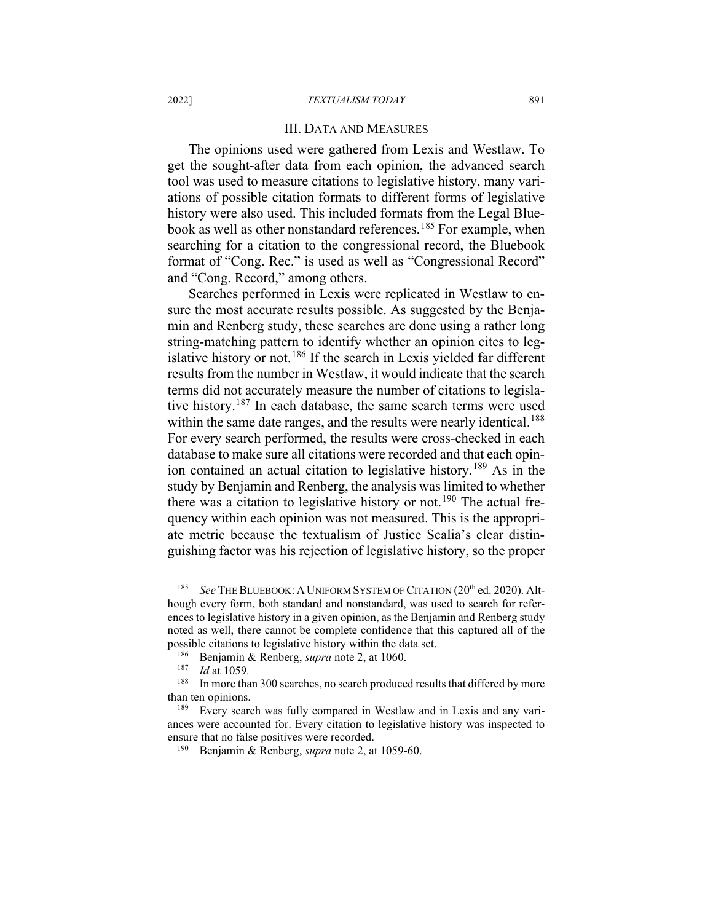#### III. DATA AND MEASURES

The opinions used were gathered from Lexis and Westlaw. To get the sought-after data from each opinion, the advanced search tool was used to measure citations to legislative history, many variations of possible citation formats to different forms of legislative history were also used. This included formats from the Legal Blue-book as well as other nonstandard references.<sup>[185](#page-28-0)</sup> For example, when searching for a citation to the congressional record, the Bluebook format of "Cong. Rec." is used as well as "Congressional Record" and "Cong. Record," among others.

Searches performed in Lexis were replicated in Westlaw to ensure the most accurate results possible. As suggested by the Benjamin and Renberg study, these searches are done using a rather long string-matching pattern to identify whether an opinion cites to leg-islative history or not.<sup>[186](#page-28-1)</sup> If the search in Lexis yielded far different results from the number in Westlaw, it would indicate that the search terms did not accurately measure the number of citations to legislative history.[187](#page-28-2) In each database, the same search terms were used within the same date ranges, and the results were nearly identical.<sup>[188](#page-28-3)</sup> For every search performed, the results were cross-checked in each database to make sure all citations were recorded and that each opin-ion contained an actual citation to legislative history.<sup>[189](#page-28-4)</sup> As in the study by Benjamin and Renberg, the analysis was limited to whether there was a citation to legislative history or not.<sup>[190](#page-28-5)</sup> The actual frequency within each opinion was not measured. This is the appropriate metric because the textualism of Justice Scalia's clear distinguishing factor was his rejection of legislative history, so the proper

<span id="page-28-0"></span><sup>&</sup>lt;sup>185</sup> *See THE BLUEBOOK: A UNIFORM SYSTEM OF CITATION (20<sup>th</sup> ed. 2020). Alt*hough every form, both standard and nonstandard, was used to search for references to legislative history in a given opinion, as the Benjamin and Renberg study noted as well, there cannot be complete confidence that this captured all of the possible citations to legislative history within the data set.

<sup>186</sup> Benjamin & Renberg, *supra* note 2, at 1060.

<sup>187</sup> *Id* at 1059*.*

<span id="page-28-3"></span><span id="page-28-2"></span><span id="page-28-1"></span>In more than 300 searches, no search produced results that differed by more than ten opinions.

<span id="page-28-5"></span><span id="page-28-4"></span><sup>&</sup>lt;sup>189</sup> Every search was fully compared in Westlaw and in Lexis and any variances were accounted for. Every citation to legislative history was inspected to ensure that no false positives were recorded.

<sup>190</sup> Benjamin & Renberg, *supra* note 2, at 1059-60.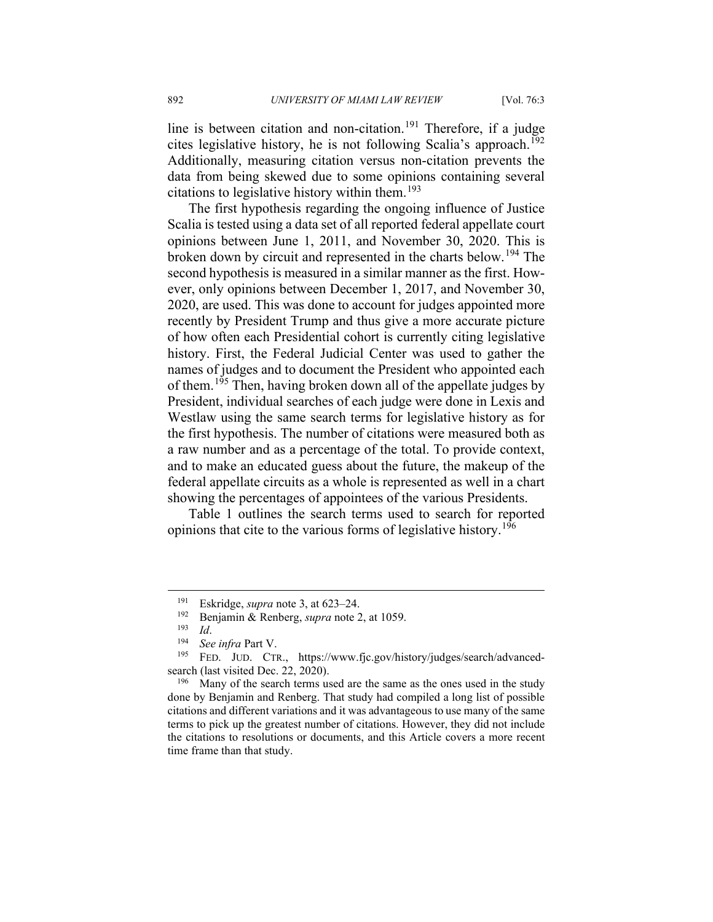line is between citation and non-citation.<sup>[191](#page-29-0)</sup> Therefore, if a judge cites legislative history, he is not following Scalia's approach.<sup>[192](#page-29-1)</sup> Additionally, measuring citation versus non-citation prevents the data from being skewed due to some opinions containing several citations to legislative history within them.<sup>[193](#page-29-2)</sup>

The first hypothesis regarding the ongoing influence of Justice Scalia is tested using a data set of all reported federal appellate court opinions between June 1, 2011, and November 30, 2020. This is broken down by circuit and represented in the charts below.[194](#page-29-3) The second hypothesis is measured in a similar manner as the first. However, only opinions between December 1, 2017, and November 30, 2020, are used. This was done to account for judges appointed more recently by President Trump and thus give a more accurate picture of how often each Presidential cohort is currently citing legislative history. First, the Federal Judicial Center was used to gather the names of judges and to document the President who appointed each of them.<sup>[195](#page-29-4)</sup> Then, having broken down all of the appellate judges by President, individual searches of each judge were done in Lexis and Westlaw using the same search terms for legislative history as for the first hypothesis. The number of citations were measured both as a raw number and as a percentage of the total. To provide context, and to make an educated guess about the future, the makeup of the federal appellate circuits as a whole is represented as well in a chart showing the percentages of appointees of the various Presidents.

Table 1 outlines the search terms used to search for reported opinions that cite to the various forms of legislative history.<sup>[196](#page-29-5)</sup>

<span id="page-29-5"></span><sup>196</sup> Many of the search terms used are the same as the ones used in the study done by Benjamin and Renberg. That study had compiled a long list of possible citations and different variations and it was advantageous to use many of the same terms to pick up the greatest number of citations. However, they did not include the citations to resolutions or documents, and this Article covers a more recent time frame than that study.

<sup>&</sup>lt;sup>191</sup> Eskridge, *supra* note 3, at 623–24.<br><sup>192</sup> Benjamin & Rephera, *supra* pote 2

<sup>192</sup> Benjamin & Renberg, *supra* note 2, at 1059.

 $\frac{193}{194}$  *Id.* 

<sup>194</sup> *See infra* Part V.

<span id="page-29-4"></span><span id="page-29-3"></span><span id="page-29-2"></span><span id="page-29-1"></span><span id="page-29-0"></span>FED. JUD. CTR., https://www.fjc.gov/history/judges/search/advancedsearch (last visited Dec. 22, 2020).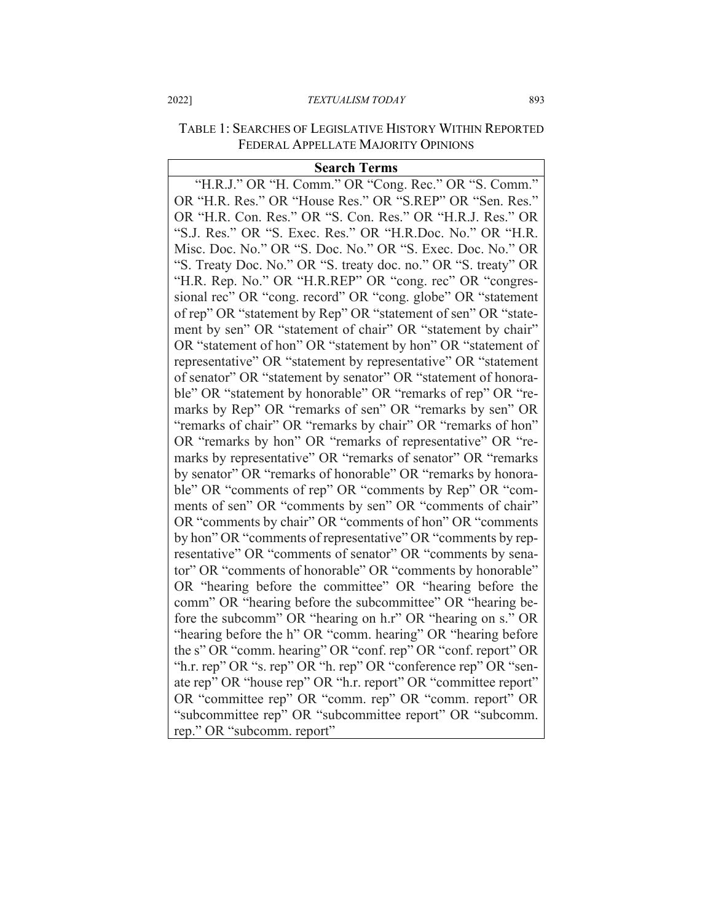#### 2022] *TEXTUALISM TODAY* 893

## TABLE 1: SEARCHES OF LEGISLATIVE HISTORY WITHIN REPORTED FEDERAL APPELLATE MAJORITY OPINIONS

#### **Search Terms**

"H.R.J." OR "H. Comm." OR "Cong. Rec." OR "S. Comm." OR "H.R. Res." OR "House Res." OR "S.REP" OR "Sen. Res." OR "H.R. Con. Res." OR "S. Con. Res." OR "H.R.J. Res." OR "S.J. Res." OR "S. Exec. Res." OR "H.R.Doc. No." OR "H.R. Misc. Doc. No." OR "S. Doc. No." OR "S. Exec. Doc. No." OR "S. Treaty Doc. No." OR "S. treaty doc. no." OR "S. treaty" OR "H.R. Rep. No." OR "H.R.REP" OR "cong. rec" OR "congressional rec" OR "cong. record" OR "cong. globe" OR "statement of rep" OR "statement by Rep" OR "statement of sen" OR "statement by sen" OR "statement of chair" OR "statement by chair" OR "statement of hon" OR "statement by hon" OR "statement of representative" OR "statement by representative" OR "statement of senator" OR "statement by senator" OR "statement of honorable" OR "statement by honorable" OR "remarks of rep" OR "remarks by Rep" OR "remarks of sen" OR "remarks by sen" OR "remarks of chair" OR "remarks by chair" OR "remarks of hon" OR "remarks by hon" OR "remarks of representative" OR "remarks by representative" OR "remarks of senator" OR "remarks by senator" OR "remarks of honorable" OR "remarks by honorable" OR "comments of rep" OR "comments by Rep" OR "comments of sen" OR "comments by sen" OR "comments of chair" OR "comments by chair" OR "comments of hon" OR "comments by hon" OR "comments of representative" OR "comments by representative" OR "comments of senator" OR "comments by senator" OR "comments of honorable" OR "comments by honorable" OR "hearing before the committee" OR "hearing before the comm" OR "hearing before the subcommittee" OR "hearing before the subcomm" OR "hearing on h.r" OR "hearing on s." OR "hearing before the h" OR "comm. hearing" OR "hearing before the s" OR "comm. hearing" OR "conf. rep" OR "conf. report" OR "h.r. rep" OR "s. rep" OR "h. rep" OR "conference rep" OR "senate rep" OR "house rep" OR "h.r. report" OR "committee report" OR "committee rep" OR "comm. rep" OR "comm. report" OR "subcommittee rep" OR "subcommittee report" OR "subcomm. rep." OR "subcomm. report"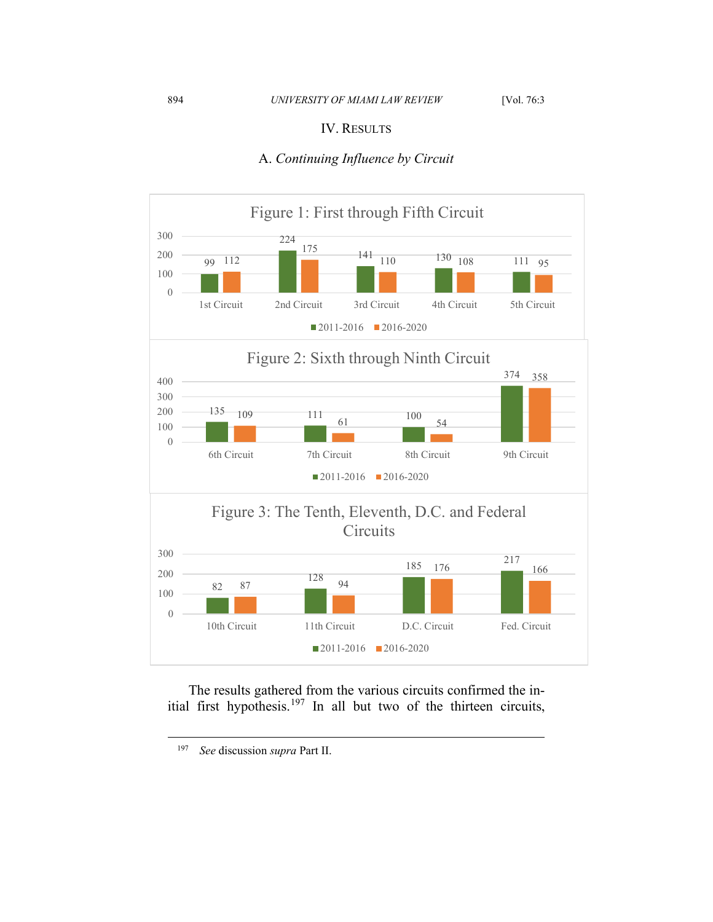## IV. RESULTS

## A. *Continuing Influence by Circuit*



The results gathered from the various circuits confirmed the in-itial first hypothesis.<sup>[197](#page-31-0)</sup> In all but two of the thirteen circuits,

<span id="page-31-0"></span>*See* discussion *supra* Part II.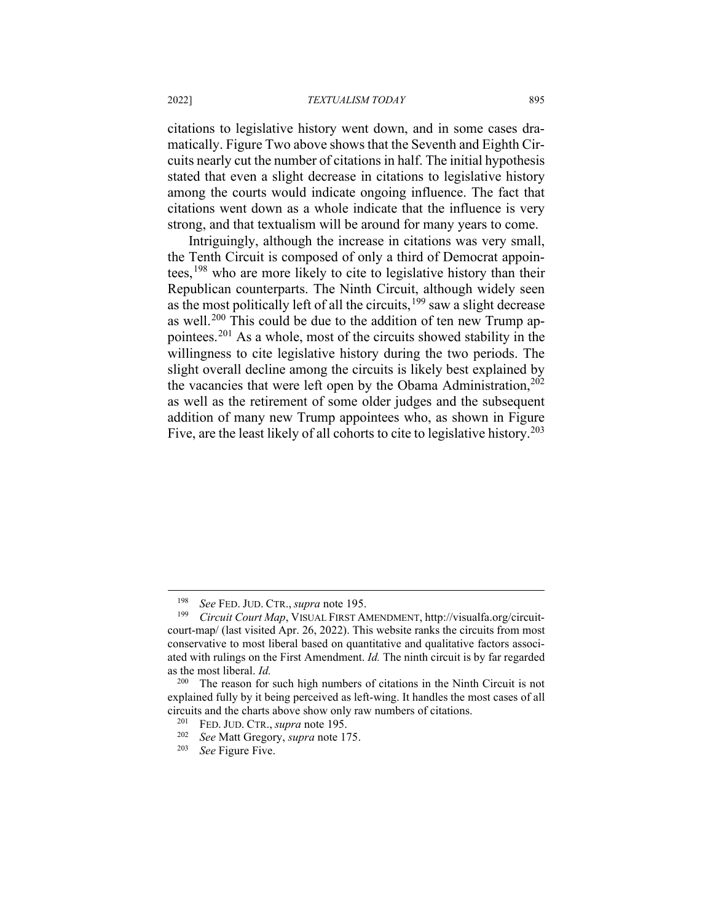#### 2022] *TEXTUALISM TODAY* 895

citations to legislative history went down, and in some cases dramatically. Figure Two above shows that the Seventh and Eighth Circuits nearly cut the number of citations in half. The initial hypothesis stated that even a slight decrease in citations to legislative history among the courts would indicate ongoing influence. The fact that citations went down as a whole indicate that the influence is very strong, and that textualism will be around for many years to come.

Intriguingly, although the increase in citations was very small, the Tenth Circuit is composed of only a third of Democrat appointees,  $198$  who are more likely to cite to legislative history than their Republican counterparts. The Ninth Circuit, although widely seen as the most politically left of all the circuits,  $199$  saw a slight decrease as well.<sup>[200](#page-32-2)</sup> This could be due to the addition of ten new Trump appointees.[201](#page-32-3) As a whole, most of the circuits showed stability in the willingness to cite legislative history during the two periods. The slight overall decline among the circuits is likely best explained by the vacancies that were left open by the Obama Administration, [202](#page-32-4) as well as the retirement of some older judges and the subsequent addition of many new Trump appointees who, as shown in Figure Five, are the least likely of all cohorts to cite to legislative history.<sup>[203](#page-32-5)</sup>

<sup>198</sup> *See* FED. JUD. CTR., *supra* note 195.

<span id="page-32-1"></span><span id="page-32-0"></span><sup>199</sup> *Circuit Court Map*, VISUAL FIRST AMENDMENT, http://visualfa.org/circuitcourt-map/ (last visited Apr. 26, 2022). This website ranks the circuits from most conservative to most liberal based on quantitative and qualitative factors associated with rulings on the First Amendment. *Id.* The ninth circuit is by far regarded as the most liberal. *Id.*

<span id="page-32-4"></span><span id="page-32-3"></span><span id="page-32-2"></span>The reason for such high numbers of citations in the Ninth Circuit is not explained fully by it being perceived as left-wing. It handles the most cases of all circuits and the charts above show only raw numbers of citations.<br> $^{201}$  FFD, IUD, CFD, summa acts  $105$ 

<sup>&</sup>lt;sup>201</sup> FED. JUD. CTR., *supra* note 195.<br><sup>202</sup> See Matt Gregory, *supra* note 1

<span id="page-32-5"></span><sup>202</sup> *See* Matt Gregory, *supra* note 175.

**See Figure Five.**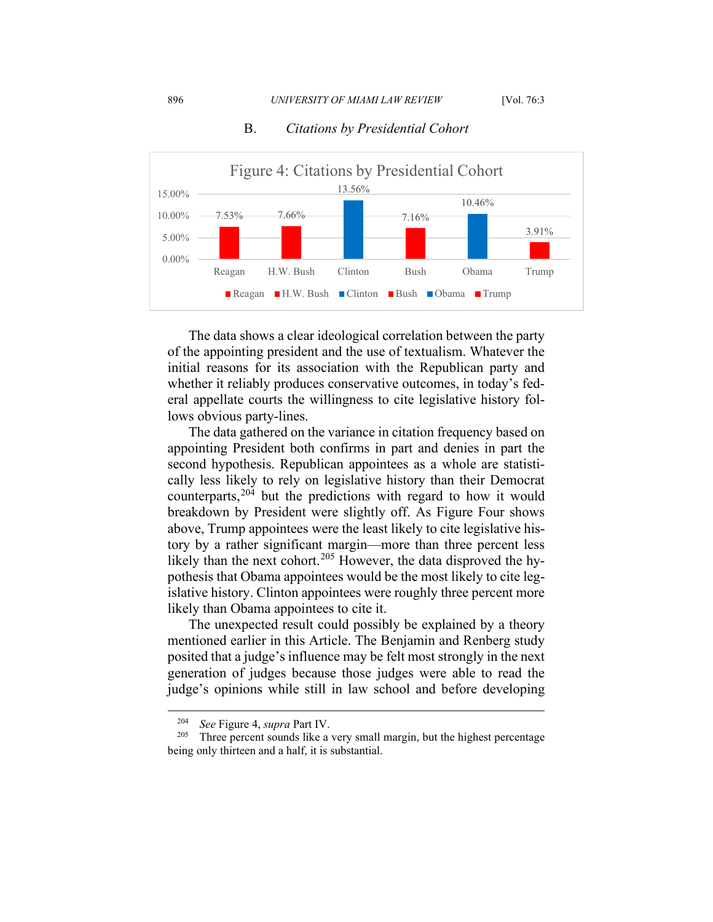

### B. *Citations by Presidential Cohort*

The data shows a clear ideological correlation between the party of the appointing president and the use of textualism. Whatever the initial reasons for its association with the Republican party and whether it reliably produces conservative outcomes, in today's federal appellate courts the willingness to cite legislative history follows obvious party-lines.

The data gathered on the variance in citation frequency based on appointing President both confirms in part and denies in part the second hypothesis. Republican appointees as a whole are statistically less likely to rely on legislative history than their Democrat counterparts,<sup>[204](#page-33-0)</sup> but the predictions with regard to how it would breakdown by President were slightly off. As Figure Four shows above, Trump appointees were the least likely to cite legislative history by a rather significant margin—more than three percent less likely than the next cohort.<sup>[205](#page-33-1)</sup> However, the data disproved the hypothesis that Obama appointees would be the most likely to cite legislative history. Clinton appointees were roughly three percent more likely than Obama appointees to cite it.

The unexpected result could possibly be explained by a theory mentioned earlier in this Article. The Benjamin and Renberg study posited that a judge's influence may be felt most strongly in the next generation of judges because those judges were able to read the judge's opinions while still in law school and before developing

<sup>&</sup>lt;sup>204</sup> *See* Figure 4, *supra* Part IV.<br><sup>205</sup> Three percent sounds like a

<span id="page-33-1"></span><span id="page-33-0"></span>Three percent sounds like a very small margin, but the highest percentage being only thirteen and a half, it is substantial.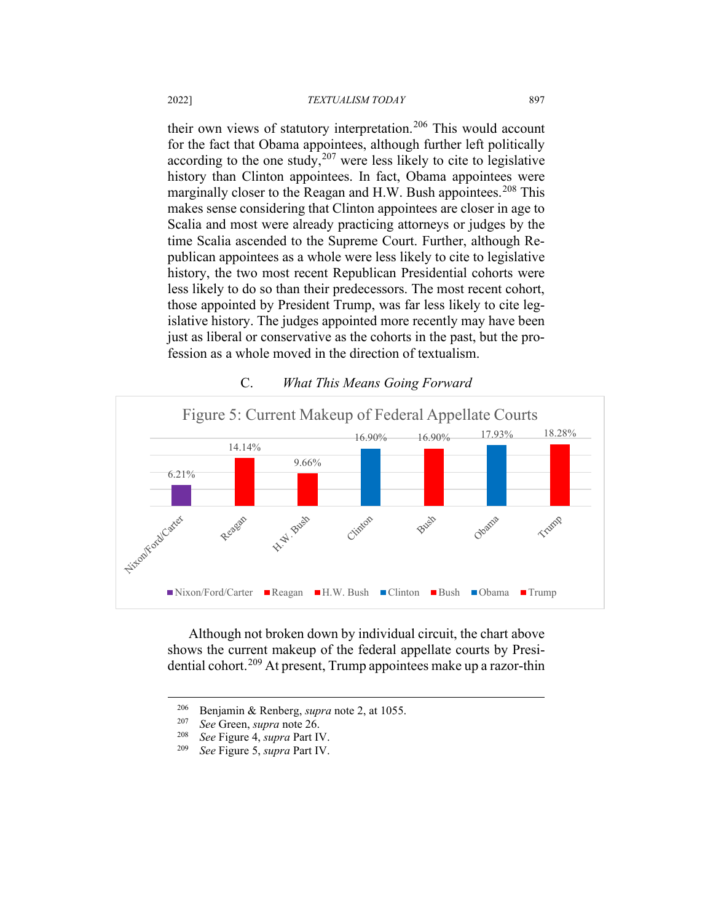their own views of statutory interpretation.<sup>[206](#page-34-0)</sup> This would account for the fact that Obama appointees, although further left politically according to the one study,  $207$  were less likely to cite to legislative history than Clinton appointees. In fact, Obama appointees were marginally closer to the Reagan and H.W. Bush appointees.<sup>[208](#page-34-2)</sup> This makes sense considering that Clinton appointees are closer in age to Scalia and most were already practicing attorneys or judges by the time Scalia ascended to the Supreme Court. Further, although Republican appointees as a whole were less likely to cite to legislative history, the two most recent Republican Presidential cohorts were less likely to do so than their predecessors. The most recent cohort, those appointed by President Trump, was far less likely to cite legislative history. The judges appointed more recently may have been just as liberal or conservative as the cohorts in the past, but the profession as a whole moved in the direction of textualism.



## C. *What This Means Going Forward*

Although not broken down by individual circuit, the chart above shows the current makeup of the federal appellate courts by Presidential cohort.[209](#page-34-3) At present, Trump appointees make up a razor-thin

<span id="page-34-1"></span><span id="page-34-0"></span><sup>206</sup> Benjamin & Renberg, *supra* note 2, at 1055.

<sup>207</sup> *See* Green, *supra* note 26.

<span id="page-34-3"></span><span id="page-34-2"></span><sup>208</sup> *See* Figure 4, *supra* Part IV.

<sup>209</sup> *See* Figure 5, *supra* Part IV.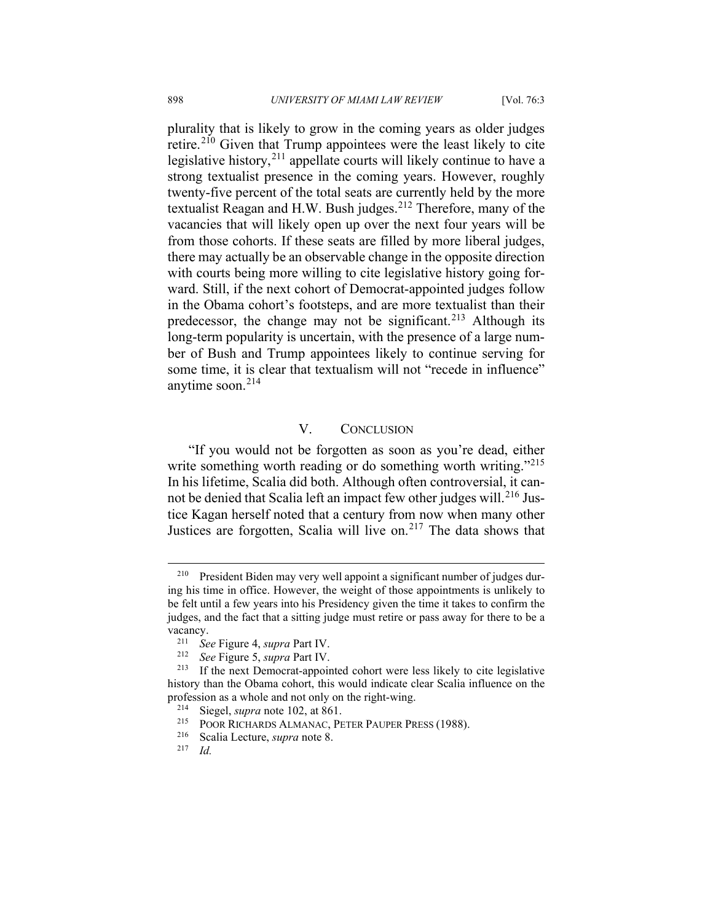plurality that is likely to grow in the coming years as older judges retire.[210](#page-35-0) Given that Trump appointees were the least likely to cite legislative history,  $2^{11}$  appellate courts will likely continue to have a strong textualist presence in the coming years. However, roughly twenty-five percent of the total seats are currently held by the more textualist Reagan and H.W. Bush judges.<sup>[212](#page-35-2)</sup> Therefore, many of the vacancies that will likely open up over the next four years will be from those cohorts. If these seats are filled by more liberal judges, there may actually be an observable change in the opposite direction with courts being more willing to cite legislative history going forward. Still, if the next cohort of Democrat-appointed judges follow in the Obama cohort's footsteps, and are more textualist than their predecessor, the change may not be significant.<sup>[213](#page-35-3)</sup> Although its long-term popularity is uncertain, with the presence of a large number of Bush and Trump appointees likely to continue serving for some time, it is clear that textualism will not "recede in influence" anytime soon.[214](#page-35-4)

## V. CONCLUSION

"If you would not be forgotten as soon as you're dead, either write something worth reading or do something worth writing."<sup>[215](#page-35-5)</sup> In his lifetime, Scalia did both. Although often controversial, it can-not be denied that Scalia left an impact few other judges will.<sup>[216](#page-35-6)</sup> Justice Kagan herself noted that a century from now when many other Justices are forgotten, Scalia will live on.<sup>[217](#page-35-7)</sup> The data shows that

<span id="page-35-0"></span><sup>&</sup>lt;sup>210</sup> President Biden may very well appoint a significant number of judges during his time in office. However, the weight of those appointments is unlikely to be felt until a few years into his Presidency given the time it takes to confirm the judges, and the fact that a sitting judge must retire or pass away for there to be a vacancy.<br> $^{211}$  Se

<sup>211</sup> *See* Figure 4, *supra* Part IV.

*See* Figure 5, *supra* Part IV.

<span id="page-35-5"></span><span id="page-35-4"></span><span id="page-35-3"></span><span id="page-35-2"></span><span id="page-35-1"></span> $213$  If the next Democrat-appointed cohort were less likely to cite legislative history than the Obama cohort, this would indicate clear Scalia influence on the profession as a whole and not only on the right-wing.<br> $^{214}$  Siegel sunga note 102 at 861

Siegel, *supra* note 102, at 861.

<sup>&</sup>lt;sup>215</sup> POOR RICHARDS ALMANAC, PETER PAUPER PRESS (1988).

<span id="page-35-6"></span><sup>216</sup> Scalia Lecture, *supra* note 8.

<span id="page-35-7"></span><sup>217</sup> *Id.*